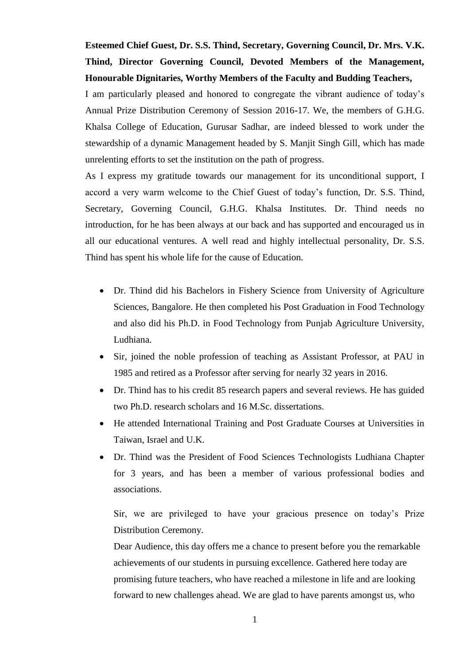**Esteemed Chief Guest, Dr. S.S. Thind, Secretary, Governing Council, Dr. Mrs. V.K. Thind, Director Governing Council, Devoted Members of the Management, Honourable Dignitaries, Worthy Members of the Faculty and Budding Teachers,** 

I am particularly pleased and honored to congregate the vibrant audience of today's Annual Prize Distribution Ceremony of Session 2016-17. We, the members of G.H.G. Khalsa College of Education, Gurusar Sadhar, are indeed blessed to work under the stewardship of a dynamic Management headed by S. Manjit Singh Gill, which has made unrelenting efforts to set the institution on the path of progress.

As I express my gratitude towards our management for its unconditional support, I accord a very warm welcome to the Chief Guest of today's function, Dr. S.S. Thind, Secretary, Governing Council, G.H.G. Khalsa Institutes. Dr. Thind needs no introduction, for he has been always at our back and has supported and encouraged us in all our educational ventures. A well read and highly intellectual personality, Dr. S.S. Thind has spent his whole life for the cause of Education.

- Dr. Thind did his Bachelors in Fishery Science from University of Agriculture Sciences, Bangalore. He then completed his Post Graduation in Food Technology and also did his Ph.D. in Food Technology from Punjab Agriculture University, Ludhiana.
- Sir, joined the noble profession of teaching as Assistant Professor, at PAU in 1985 and retired as a Professor after serving for nearly 32 years in 2016.
- Dr. Thind has to his credit 85 research papers and several reviews. He has guided two Ph.D. research scholars and 16 M.Sc. dissertations.
- He attended International Training and Post Graduate Courses at Universities in Taiwan, Israel and U.K.
- Dr. Thind was the President of Food Sciences Technologists Ludhiana Chapter for 3 years, and has been a member of various professional bodies and associations.

Sir, we are privileged to have your gracious presence on today's Prize Distribution Ceremony.

Dear Audience, this day offers me a chance to present before you the remarkable achievements of our students in pursuing excellence. Gathered here today are promising future teachers, who have reached a milestone in life and are looking forward to new challenges ahead. We are glad to have parents amongst us, who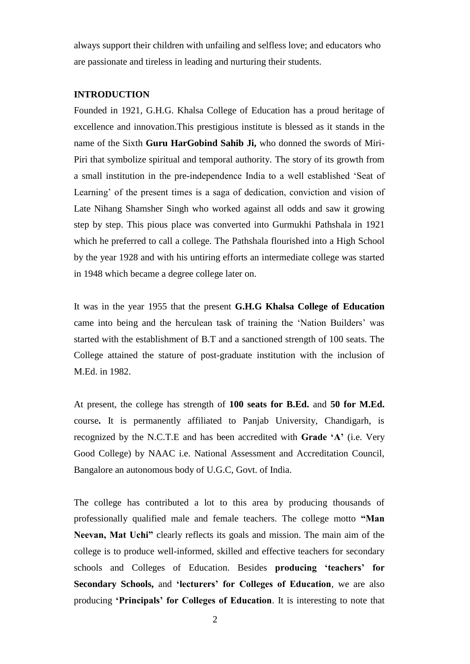always support their children with unfailing and selfless love; and educators who are passionate and tireless in leading and nurturing their students.

#### **INTRODUCTION**

Founded in 1921, G.H.G. Khalsa College of Education has a proud heritage of excellence and innovation.This prestigious institute is blessed as it stands in the name of the Sixth **Guru HarGobind Sahib Ji,** who donned the swords of Miri-Piri that symbolize spiritual and temporal authority. The story of its growth from a small institution in the pre-independence India to a well established 'Seat of Learning' of the present times is a saga of dedication, conviction and vision of Late Nihang Shamsher Singh who worked against all odds and saw it growing step by step. This pious place was converted into Gurmukhi Pathshala in 1921 which he preferred to call a college. The Pathshala flourished into a High School by the year 1928 and with his untiring efforts an intermediate college was started in 1948 which became a degree college later on.

It was in the year 1955 that the present **G.H.G Khalsa College of Education**  came into being and the herculean task of training the 'Nation Builders' was started with the establishment of B.T and a sanctioned strength of 100 seats. The College attained the stature of post-graduate institution with the inclusion of M.Ed. in 1982.

At present, the college has strength of **100 seats for B.Ed.** and **50 for M.Ed.**  course**.** It is permanently affiliated to Panjab University, Chandigarh, is recognized by the N.C.T.E and has been accredited with **Grade 'A'** (i.e. Very Good College) by NAAC i.e. National Assessment and Accreditation Council, Bangalore an autonomous body of U.G.C, Govt. of India.

The college has contributed a lot to this area by producing thousands of professionally qualified male and female teachers. The college motto **"Man Neevan, Mat Uchi"** clearly reflects its goals and mission. The main aim of the college is to produce well-informed, skilled and effective teachers for secondary schools and Colleges of Education. Besides **producing 'teachers' for Secondary Schools,** and **'lecturers' for Colleges of Education**, we are also producing **'Principals' for Colleges of Education**. It is interesting to note that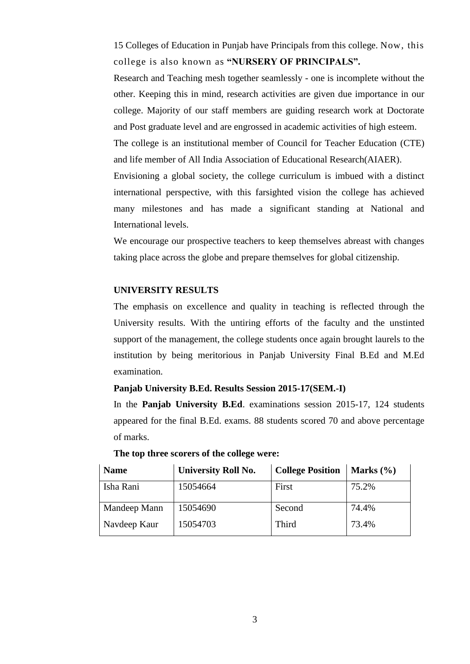15 Colleges of Education in Punjab have Principals from this college. Now, this college is also known as **"NURSERY OF PRINCIPALS".**

Research and Teaching mesh together seamlessly - one is incomplete without the other. Keeping this in mind, research activities are given due importance in our college. Majority of our staff members are guiding research work at Doctorate and Post graduate level and are engrossed in academic activities of high esteem. The college is an institutional member of Council for Teacher Education (CTE) and life member of All India Association of Educational Research(AIAER). Envisioning a global society, the college curriculum is imbued with a distinct international perspective, with this farsighted vision the college has achieved many milestones and has made a significant standing at National and

We encourage our prospective teachers to keep themselves abreast with changes taking place across the globe and prepare themselves for global citizenship.

## **UNIVERSITY RESULTS**

International levels.

The emphasis on excellence and quality in teaching is reflected through the University results. With the untiring efforts of the faculty and the unstinted support of the management, the college students once again brought laurels to the institution by being meritorious in Panjab University Final B.Ed and M.Ed examination.

#### **Panjab University B.Ed. Results Session 2015-17(SEM.-I)**

In the **Panjab University B.Ed**. examinations session 2015-17, 124 students appeared for the final B.Ed. exams. 88 students scored 70 and above percentage of marks.

**The top three scorers of the college were:** 

| <b>Name</b>  | <b>University Roll No.</b> | <b>College Position</b> | Marks $(\% )$ |
|--------------|----------------------------|-------------------------|---------------|
| Isha Rani    | 15054664                   | First                   | 75.2%         |
| Mandeep Mann | 15054690                   | Second                  | 74.4%         |
| Navdeep Kaur | 15054703                   | Third                   | 73.4%         |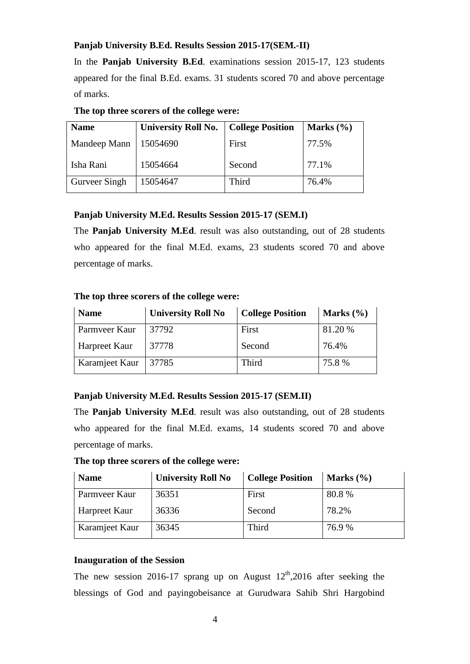### **Panjab University B.Ed. Results Session 2015-17(SEM.-II)**

In the **Panjab University B.Ed**. examinations session 2015-17, 123 students appeared for the final B.Ed. exams. 31 students scored 70 and above percentage of marks.

| The top three scorers of the college were: |  |
|--------------------------------------------|--|
|--------------------------------------------|--|

| <b>University Roll No.</b> |        | Marks $(\% )$           |
|----------------------------|--------|-------------------------|
| 15054690                   | First  | 77.5%                   |
| 15054664                   | Second | 77.1%                   |
| 15054647                   | Third  | 76.4%                   |
|                            |        | <b>College Position</b> |

### **Panjab University M.Ed. Results Session 2015-17 (SEM.I)**

The **Panjab University M.Ed**. result was also outstanding, out of 28 students who appeared for the final M.Ed. exams, 23 students scored 70 and above percentage of marks.

# **The top three scorers of the college were:**

| <b>Name</b>    | <b>University Roll No</b> | <b>College Position</b> | Marks $(\% )$ |
|----------------|---------------------------|-------------------------|---------------|
| Parmveer Kaur  | 37792                     | First                   | 81.20 %       |
| Harpreet Kaur  | 37778                     | Second                  | 76.4%         |
| Karamjeet Kaur | 37785                     | Third                   | 75.8%         |

### **Panjab University M.Ed. Results Session 2015-17 (SEM.II)**

The **Panjab University M.Ed**. result was also outstanding, out of 28 students who appeared for the final M.Ed. exams, 14 students scored 70 and above percentage of marks.

**The top three scorers of the college were:** 

| <b>Name</b>    | <b>University Roll No</b> | <b>College Position</b> | Marks $(\% )$ |
|----------------|---------------------------|-------------------------|---------------|
| Parmveer Kaur  | 36351                     | First                   | 80.8%         |
| Harpreet Kaur  | 36336                     | Second                  | 78.2%         |
| Karamjeet Kaur | 36345                     | Third                   | 76.9 %        |

### **Inauguration of the Session**

The new session 2016-17 sprang up on August  $12<sup>th</sup>$ , 2016 after seeking the blessings of God and payingobeisance at Gurudwara Sahib Shri Hargobind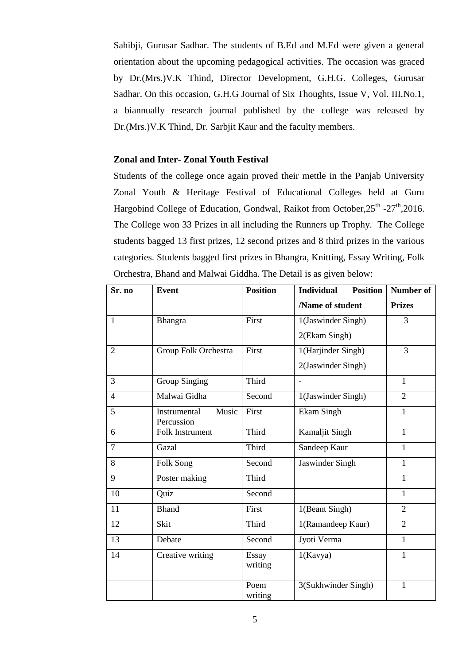Sahibji, Gurusar Sadhar. The students of B.Ed and M.Ed were given a general orientation about the upcoming pedagogical activities. The occasion was graced by Dr.(Mrs.)V.K Thind, Director Development, G.H.G. Colleges, Gurusar Sadhar. On this occasion, G.H.G Journal of Six Thoughts, Issue V, Vol. III,No.1, a biannually research journal published by the college was released by Dr.(Mrs.)V.K Thind, Dr. Sarbjit Kaur and the faculty members.

#### **Zonal and Inter- Zonal Youth Festival**

Students of the college once again proved their mettle in the Panjab University Zonal Youth & Heritage Festival of Educational Colleges held at Guru Hargobind College of Education, Gondwal, Raikot from October, 25<sup>th</sup> -27<sup>th</sup>, 2016. The College won 33 Prizes in all including the Runners up Trophy. The College students bagged 13 first prizes, 12 second prizes and 8 third prizes in the various categories. Students bagged first prizes in Bhangra, Knitting, Essay Writing, Folk Orchestra, Bhand and Malwai Giddha. The Detail is as given below:

| Sr. no          | <b>Event</b>                        | <b>Position</b>  | <b>Individual</b><br><b>Position</b> | Number of      |
|-----------------|-------------------------------------|------------------|--------------------------------------|----------------|
|                 |                                     |                  | /Name of student                     | <b>Prizes</b>  |
| $\overline{1}$  | Bhangra                             | First            | 1(Jaswinder Singh)                   | $\overline{3}$ |
|                 |                                     |                  | 2(Ekam Singh)                        |                |
| $\overline{2}$  | Group Folk Orchestra                | First            | 1(Harjinder Singh)                   | 3              |
|                 |                                     |                  | 2(Jaswinder Singh)                   |                |
| $\overline{3}$  | <b>Group Singing</b>                | Third            |                                      | $\mathbf{1}$   |
| $\overline{4}$  | Malwai Gidha                        | Second           | 1(Jaswinder Singh)                   | $\overline{2}$ |
| $\overline{5}$  | Music<br>Instrumental<br>Percussion | First            | <b>Ekam Singh</b>                    | $\mathbf{1}$   |
| 6               | Folk Instrument                     | Third            | Kamaljit Singh                       | $\mathbf{1}$   |
| $\overline{7}$  | Gazal                               | Third            | Sandeep Kaur                         | $\mathbf{1}$   |
| 8               | Folk Song                           | Second           | Jaswinder Singh                      | $\mathbf{1}$   |
| 9               | Poster making                       | Third            |                                      | $\mathbf{1}$   |
| 10              | Quiz                                | Second           |                                      | $\mathbf{1}$   |
| 11              | <b>Bhand</b>                        | First            | 1(Beant Singh)                       | $\overline{2}$ |
| 12              | Skit                                | Third            | 1(Ramandeep Kaur)                    | $\overline{2}$ |
| 13              | Debate                              | Second           | Jyoti Verma                          | $\mathbf{1}$   |
| $\overline{14}$ | Creative writing                    | Essay<br>writing | 1(Kavya)                             | $\mathbf{1}$   |
|                 |                                     | Poem<br>writing  | 3(Sukhwinder Singh)                  | $\mathbf{1}$   |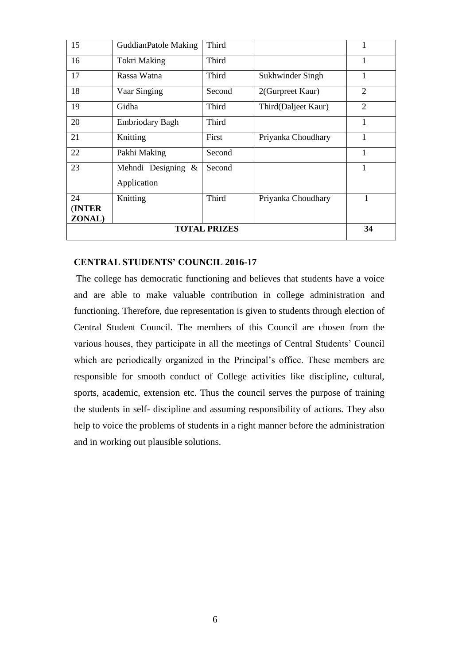| <b>TOTAL PRIZES</b>      |                             |        |                     |                |
|--------------------------|-----------------------------|--------|---------------------|----------------|
| <b>(INTER)</b><br>ZONAL) |                             |        |                     | 34             |
| 24                       | Knitting                    | Third  | Priyanka Choudhary  | 1              |
|                          | Application                 |        |                     |                |
| 23                       | Mehndi Designing $\&$       | Second |                     | $\mathbf{1}$   |
| 22                       | Pakhi Making                | Second |                     | 1              |
| 21                       | Knitting                    | First  | Priyanka Choudhary  | 1              |
| 20                       | <b>Embriodary Bagh</b>      | Third  |                     | 1              |
| 19                       | Gidha                       | Third  | Third(Daljeet Kaur) | $\overline{2}$ |
| 18                       | Vaar Singing                | Second | 2(Gurpreet Kaur)    | $\overline{2}$ |
| 17                       | Rassa Watna                 | Third  | Sukhwinder Singh    | 1              |
| 16                       | <b>Tokri Making</b>         | Third  |                     | 1              |
| 15                       | <b>GuddianPatole Making</b> | Third  |                     | 1              |

### **CENTRAL STUDENTS' COUNCIL 2016-17**

The college has democratic functioning and believes that students have a voice and are able to make valuable contribution in college administration and functioning. Therefore, due representation is given to students through election of Central Student Council. The members of this Council are chosen from the various houses, they participate in all the meetings of Central Students' Council which are periodically organized in the Principal's office. These members are responsible for smooth conduct of College activities like discipline, cultural, sports, academic, extension etc. Thus the council serves the purpose of training the students in self- discipline and assuming responsibility of actions. They also help to voice the problems of students in a right manner before the administration and in working out plausible solutions.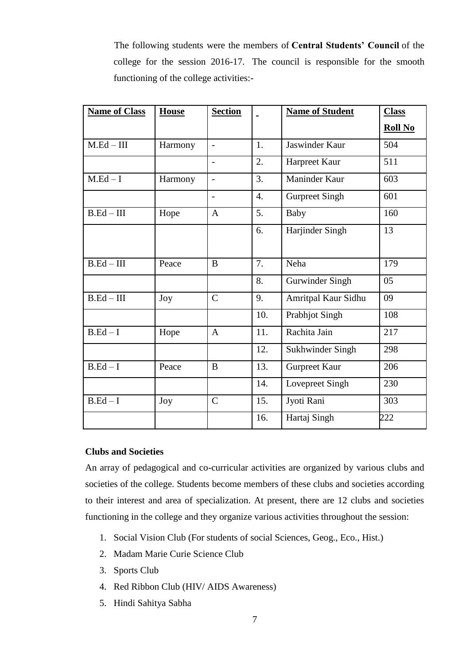The following students were the members of **Central Students' Council** of the college for the session 2016-17. The council is responsible for the smooth functioning of the college activities:-

| <b>Name of Class</b> | <b>House</b> | <b>Section</b> |                  | <b>Name of Student</b> | <b>Class</b>   |
|----------------------|--------------|----------------|------------------|------------------------|----------------|
|                      |              |                |                  |                        | <b>Roll No</b> |
| $M.Ed - III$         | Harmony      | $\overline{a}$ | 1.               | Jaswinder Kaur         | 504            |
|                      |              | $\overline{a}$ | 2.               | Harpreet Kaur          | 511            |
| $M.Ed-I$             | Harmony      | $\overline{a}$ | 3.               | Maninder Kaur          | 603            |
|                      |              |                | $\overline{4}$ . | <b>Gurpreet Singh</b>  | 601            |
| $B.Ed-III$           | Hope         | A              | 5.               | Baby                   | 160            |
|                      |              |                | 6.               | Harjinder Singh        | 13             |
| $B.Ed-III$           | Peace        | B              | 7.               | Neha                   | 179            |
|                      |              |                | 8.               | Gurwinder Singh        | 05             |
| $B.Ed-III$           | Joy          | $\mathcal{C}$  | 9.               | Amritpal Kaur Sidhu    | 09             |
|                      |              |                | 10.              | <b>Prabhjot Singh</b>  | 108            |
| $B.Ed-I$             | Hope         | $\mathbf{A}$   | 11.              | Rachita Jain           | 217            |
|                      |              |                | 12.              | Sukhwinder Singh       | 298            |
| $B.Ed-I$             | Peace        | B              | 13.              | Gurpreet Kaur          | 206            |
|                      |              |                | 14.              | Lovepreet Singh        | 230            |
| $B.Ed-I$             | Joy          | $\mathcal{C}$  | 15.              | Jyoti Rani             | 303            |
|                      |              |                | 16.              | Hartaj Singh           | 222            |

### **Clubs and Societies**

An array of pedagogical and co-curricular activities are organized by various clubs and societies of the college. Students become members of these clubs and societies according to their interest and area of specialization. At present, there are 12 clubs and societies functioning in the college and they organize various activities throughout the session:

- 1. Social Vision Club (For students of social Sciences, Geog., Eco., Hist.)
- 2. Madam Marie Curie Science Club
- 3. Sports Club
- 4. Red Ribbon Club (HIV/ AIDS Awareness)
- 5. Hindi Sahitya Sabha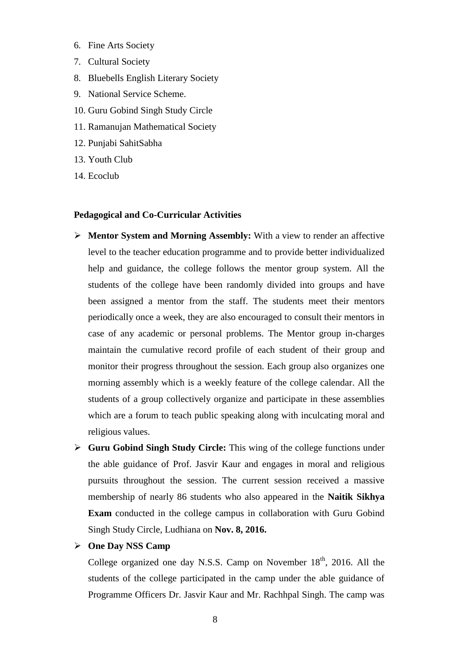- 6. Fine Arts Society
- 7. Cultural Society
- 8. Bluebells English Literary Society
- 9. National Service Scheme.
- 10. Guru Gobind Singh Study Circle
- 11. Ramanujan Mathematical Society
- 12. Punjabi SahitSabha
- 13. Youth Club
- 14. Ecoclub

#### **Pedagogical and Co-Curricular Activities**

- **Mentor System and Morning Assembly:** With a view to render an affective level to the teacher education programme and to provide better individualized help and guidance, the college follows the mentor group system. All the students of the college have been randomly divided into groups and have been assigned a mentor from the staff. The students meet their mentors periodically once a week, they are also encouraged to consult their mentors in case of any academic or personal problems. The Mentor group in-charges maintain the cumulative record profile of each student of their group and monitor their progress throughout the session. Each group also organizes one morning assembly which is a weekly feature of the college calendar. All the students of a group collectively organize and participate in these assemblies which are a forum to teach public speaking along with inculcating moral and religious values.
- **Guru Gobind Singh Study Circle:** This wing of the college functions under the able guidance of Prof. Jasvir Kaur and engages in moral and religious pursuits throughout the session. The current session received a massive membership of nearly 86 students who also appeared in the **Naitik Sikhya Exam** conducted in the college campus in collaboration with Guru Gobind Singh Study Circle, Ludhiana on **Nov. 8, 2016.**

#### **One Day NSS Camp**

College organized one day N.S.S. Camp on November  $18<sup>th</sup>$ , 2016. All the students of the college participated in the camp under the able guidance of Programme Officers Dr. Jasvir Kaur and Mr. Rachhpal Singh. The camp was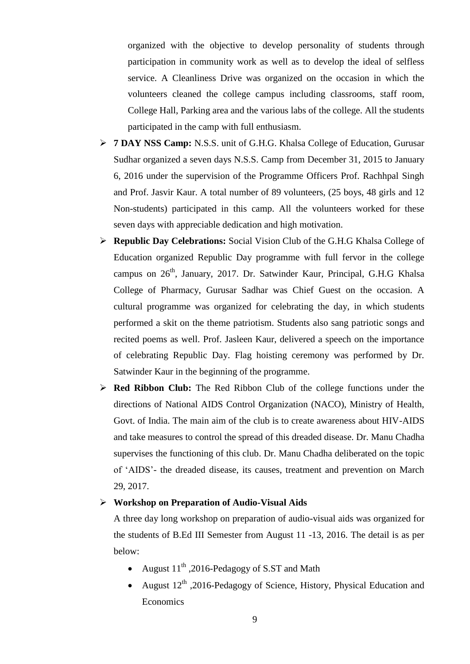organized with the objective to develop personality of students through participation in community work as well as to develop the ideal of selfless service. A Cleanliness Drive was organized on the occasion in which the volunteers cleaned the college campus including classrooms, staff room, College Hall, Parking area and the various labs of the college. All the students participated in the camp with full enthusiasm.

- **7 DAY NSS Camp:** N.S.S. unit of G.H.G. Khalsa College of Education, Gurusar Sudhar organized a seven days N.S.S. Camp from December 31, 2015 to January 6, 2016 under the supervision of the Programme Officers Prof. Rachhpal Singh and Prof. Jasvir Kaur. A total number of 89 volunteers, (25 boys, 48 girls and 12 Non-students) participated in this camp. All the volunteers worked for these seven days with appreciable dedication and high motivation.
- **Republic Day Celebrations:** Social Vision Club of the G.H.G Khalsa College of Education organized Republic Day programme with full fervor in the college campus on 26<sup>th</sup>, January, 2017. Dr. Satwinder Kaur, Principal, G.H.G Khalsa College of Pharmacy, Gurusar Sadhar was Chief Guest on the occasion. A cultural programme was organized for celebrating the day, in which students performed a skit on the theme patriotism. Students also sang patriotic songs and recited poems as well. Prof. Jasleen Kaur, delivered a speech on the importance of celebrating Republic Day. Flag hoisting ceremony was performed by Dr. Satwinder Kaur in the beginning of the programme.
- **Red Ribbon Club:** The Red Ribbon Club of the college functions under the directions of National AIDS Control Organization (NACO), Ministry of Health, Govt. of India. The main aim of the club is to create awareness about HIV-AIDS and take measures to control the spread of this dreaded disease. Dr. Manu Chadha supervises the functioning of this club. Dr. Manu Chadha deliberated on the topic of 'AIDS'- the dreaded disease, its causes, treatment and prevention on March 29, 2017.

#### **Workshop on Preparation of Audio-Visual Aids**

A three day long workshop on preparation of audio-visual aids was organized for the students of B.Ed III Semester from August 11 -13, 2016. The detail is as per below:

- August  $11^{th}$ , 2016-Pedagogy of S.ST and Math
- August 12<sup>th</sup> ,2016-Pedagogy of Science, History, Physical Education and **Economics**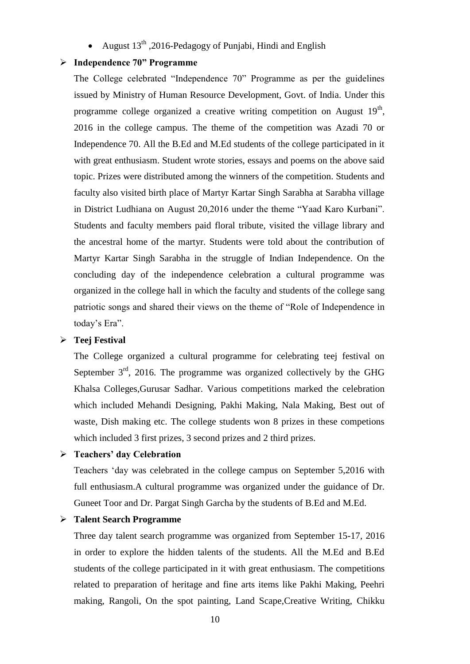• August  $13<sup>th</sup>$ , 2016-Pedagogy of Punjabi, Hindi and English

#### **Independence 70" Programme**

The College celebrated "Independence 70" Programme as per the guidelines issued by Ministry of Human Resource Development, Govt. of India. Under this programme college organized a creative writing competition on August  $19<sup>th</sup>$ , 2016 in the college campus. The theme of the competition was Azadi 70 or Independence 70. All the B.Ed and M.Ed students of the college participated in it with great enthusiasm. Student wrote stories, essays and poems on the above said topic. Prizes were distributed among the winners of the competition. Students and faculty also visited birth place of Martyr Kartar Singh Sarabha at Sarabha village in District Ludhiana on August 20,2016 under the theme "Yaad Karo Kurbani". Students and faculty members paid floral tribute, visited the village library and the ancestral home of the martyr. Students were told about the contribution of Martyr Kartar Singh Sarabha in the struggle of Indian Independence. On the concluding day of the independence celebration a cultural programme was organized in the college hall in which the faculty and students of the college sang patriotic songs and shared their views on the theme of "Role of Independence in today's Era".

#### **Teej Festival**

The College organized a cultural programme for celebrating teej festival on September  $3<sup>rd</sup>$ , 2016. The programme was organized collectively by the GHG Khalsa Colleges,Gurusar Sadhar. Various competitions marked the celebration which included Mehandi Designing, Pakhi Making, Nala Making, Best out of waste, Dish making etc. The college students won 8 prizes in these competions which included 3 first prizes, 3 second prizes and 2 third prizes.

## **Teachers' day Celebration**

Teachers 'day was celebrated in the college campus on September 5,2016 with full enthusiasm.A cultural programme was organized under the guidance of Dr. Guneet Toor and Dr. Pargat Singh Garcha by the students of B.Ed and M.Ed.

#### **Talent Search Programme**

Three day talent search programme was organized from September 15-17, 2016 in order to explore the hidden talents of the students. All the M.Ed and B.Ed students of the college participated in it with great enthusiasm. The competitions related to preparation of heritage and fine arts items like Pakhi Making, Peehri making, Rangoli, On the spot painting, Land Scape,Creative Writing, Chikku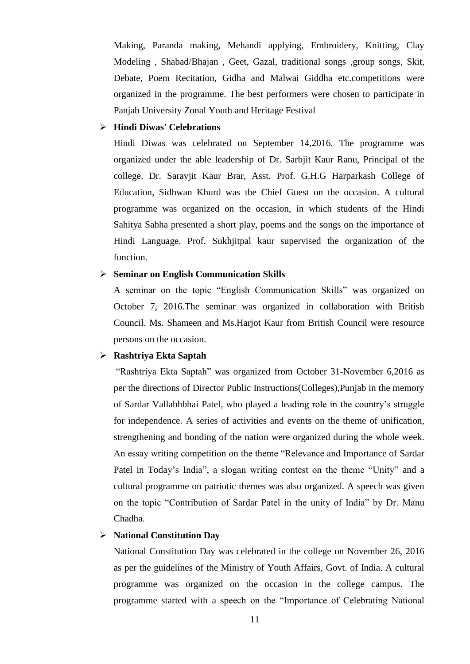Making, Paranda making, Mehandi applying, Embroidery, Knitting, Clay Modeling , Shabad/Bhajan , Geet, Gazal, traditional songs ,group songs, Skit, Debate, Poem Recitation, Gidha and Malwai Giddha etc.competitions were organized in the programme. The best performers were chosen to participate in Panjab University Zonal Youth and Heritage Festival

### **Hindi Diwas' Celebrations**

Hindi Diwas was celebrated on September 14,2016. The programme was organized under the able leadership of Dr. Sarbjit Kaur Ranu, Principal of the college. Dr. Saravjit Kaur Brar, Asst. Prof. G.H.G Harparkash College of Education, Sidhwan Khurd was the Chief Guest on the occasion. A cultural programme was organized on the occasion, in which students of the Hindi Sahitya Sabha presented a short play, poems and the songs on the importance of Hindi Language. Prof. Sukhjitpal kaur supervised the organization of the function.

### **Seminar on English Communication Skills**

A seminar on the topic "English Communication Skills" was organized on October 7, 2016.The seminar was organized in collaboration with British Council. Ms. Shameen and Ms.Harjot Kaur from British Council were resource persons on the occasion.

#### **Rashtriya Ekta Saptah**

"Rashtriya Ekta Saptah" was organized from October 31-November 6,2016 as per the directions of Director Public Instructions(Colleges),Punjab in the memory of Sardar Vallabhbhai Patel, who played a leading role in the country's struggle for independence. A series of activities and events on the theme of unification, strengthening and bonding of the nation were organized during the whole week. An essay writing competition on the theme "Relevance and Importance of Sardar Patel in Today's India", a slogan writing contest on the theme "Unity" and a cultural programme on patriotic themes was also organized. A speech was given on the topic "Contribution of Sardar Patel in the unity of India" by Dr. Manu Chadha.

## **National Constitution Day**

National Constitution Day was celebrated in the college on November 26, 2016 as per the guidelines of the Ministry of Youth Affairs, Govt. of India. A cultural programme was organized on the occasion in the college campus. The programme started with a speech on the "Importance of Celebrating National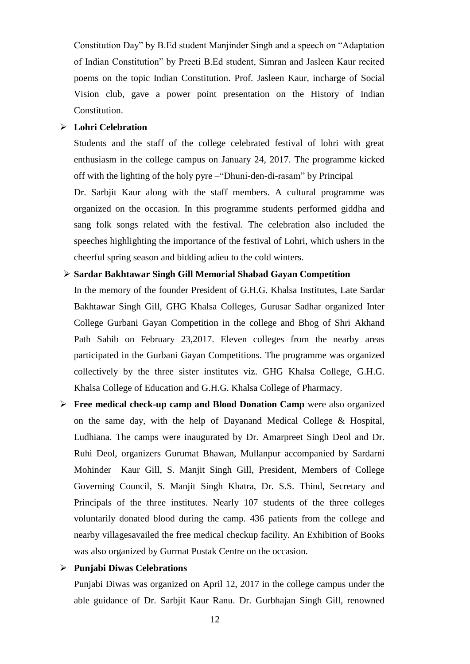Constitution Day" by B.Ed student Manjinder Singh and a speech on "Adaptation of Indian Constitution" by Preeti B.Ed student, Simran and Jasleen Kaur recited poems on the topic Indian Constitution. Prof. Jasleen Kaur, incharge of Social Vision club, gave a power point presentation on the History of Indian Constitution.

#### **Lohri Celebration**

Students and the staff of the college celebrated festival of lohri with great enthusiasm in the college campus on January 24, 2017. The programme kicked off with the lighting of the holy pyre –"Dhuni-den-di-rasam" by Principal

Dr. Sarbjit Kaur along with the staff members. A cultural programme was organized on the occasion. In this programme students performed giddha and sang folk songs related with the festival. The celebration also included the speeches highlighting the importance of the festival of Lohri, which ushers in the cheerful spring season and bidding adieu to the cold winters.

### **Sardar Bakhtawar Singh Gill Memorial Shabad Gayan Competition**

In the memory of the founder President of G.H.G. Khalsa Institutes, Late Sardar Bakhtawar Singh Gill, GHG Khalsa Colleges, Gurusar Sadhar organized Inter College Gurbani Gayan Competition in the college and Bhog of Shri Akhand Path Sahib on February 23,2017. Eleven colleges from the nearby areas participated in the Gurbani Gayan Competitions. The programme was organized collectively by the three sister institutes viz. GHG Khalsa College, G.H.G. Khalsa College of Education and G.H.G. Khalsa College of Pharmacy.

 **Free medical check-up camp and Blood Donation Camp** were also organized on the same day, with the help of Dayanand Medical College & Hospital, Ludhiana. The camps were inaugurated by Dr. Amarpreet Singh Deol and Dr. Ruhi Deol, organizers Gurumat Bhawan, Mullanpur accompanied by Sardarni Mohinder Kaur Gill, S. Manjit Singh Gill, President, Members of College Governing Council, S. Manjit Singh Khatra, Dr. S.S. Thind, Secretary and Principals of the three institutes. Nearly 107 students of the three colleges voluntarily donated blood during the camp. 436 patients from the college and nearby villagesavailed the free medical checkup facility. An Exhibition of Books was also organized by Gurmat Pustak Centre on the occasion.

### **Punjabi Diwas Celebrations**

Punjabi Diwas was organized on April 12, 2017 in the college campus under the able guidance of Dr. Sarbjit Kaur Ranu. Dr. Gurbhajan Singh Gill, renowned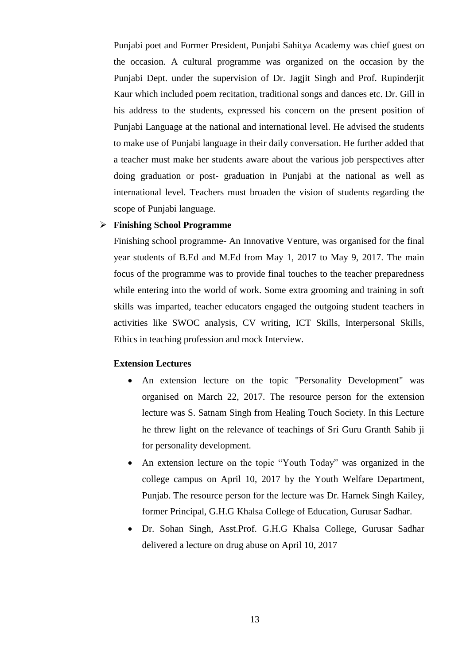Punjabi poet and Former President, Punjabi Sahitya Academy was chief guest on the occasion. A cultural programme was organized on the occasion by the Punjabi Dept. under the supervision of Dr. Jagjit Singh and Prof. Rupinderjit Kaur which included poem recitation, traditional songs and dances etc. Dr. Gill in his address to the students, expressed his concern on the present position of Punjabi Language at the national and international level. He advised the students to make use of Punjabi language in their daily conversation. He further added that a teacher must make her students aware about the various job perspectives after doing graduation or post- graduation in Punjabi at the national as well as international level. Teachers must broaden the vision of students regarding the scope of Punjabi language.

### **Finishing School Programme**

Finishing school programme- An Innovative Venture, was organised for the final year students of B.Ed and M.Ed from May 1, 2017 to May 9, 2017. The main focus of the programme was to provide final touches to the teacher preparedness while entering into the world of work. Some extra grooming and training in soft skills was imparted, teacher educators engaged the outgoing student teachers in activities like SWOC analysis, CV writing, ICT Skills, Interpersonal Skills, Ethics in teaching profession and mock Interview.

#### **Extension Lectures**

- An extension lecture on the topic "Personality Development" was organised on March 22, 2017. The resource person for the extension lecture was S. Satnam Singh from Healing Touch Society. In this Lecture he threw light on the relevance of teachings of Sri Guru Granth Sahib ji for personality development.
- An extension lecture on the topic "Youth Today" was organized in the college campus on April 10, 2017 by the Youth Welfare Department, Punjab. The resource person for the lecture was Dr. Harnek Singh Kailey, former Principal, G.H.G Khalsa College of Education, Gurusar Sadhar.
- Dr. Sohan Singh, Asst.Prof. G.H.G Khalsa College, Gurusar Sadhar delivered a lecture on drug abuse on April 10, 2017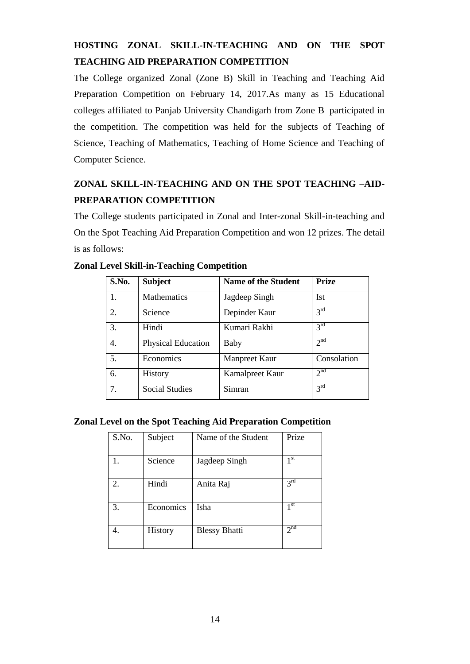# **HOSTING ZONAL SKILL-IN-TEACHING AND ON THE SPOT TEACHING AID PREPARATION COMPETITION**

The College organized Zonal (Zone B) Skill in Teaching and Teaching Aid Preparation Competition on February 14, 2017.As many as 15 Educational colleges affiliated to Panjab University Chandigarh from Zone B participated in the competition. The competition was held for the subjects of Teaching of Science, Teaching of Mathematics, Teaching of Home Science and Teaching of Computer Science.

# **ZONAL SKILL-IN-TEACHING AND ON THE SPOT TEACHING –AID-PREPARATION COMPETITION**

The College students participated in Zonal and Inter-zonal Skill-in-teaching and On the Spot Teaching Aid Preparation Competition and won 12 prizes. The detail is as follows:

| S.No. | <b>Subject</b>            | Name of the Student  | <b>Prize</b>    |
|-------|---------------------------|----------------------|-----------------|
| 1.    | <b>Mathematics</b>        | Jagdeep Singh        | <b>Ist</b>      |
| 2.    | Science                   | Depinder Kaur        | 3 <sup>rd</sup> |
| 3.    | Hindi                     | Kumari Rakhi         | 3 <sup>rd</sup> |
| 4.    | <b>Physical Education</b> | Baby                 | 2 <sup>nd</sup> |
| 5.    | Economics                 | <b>Manpreet Kaur</b> | Consolation     |
| 6.    | History                   | Kamalpreet Kaur      | 2 <sup>nd</sup> |
| 7.    | <b>Social Studies</b>     | Simran               | 3 <sup>rd</sup> |

# **Zonal Level Skill-in-Teaching Competition**

### **Zonal Level on the Spot Teaching Aid Preparation Competition**

| S.No. | Subject   | Name of the Student  | Prize           |
|-------|-----------|----------------------|-----------------|
|       | Science   | Jagdeep Singh        | 1 <sup>st</sup> |
| 2.    | Hindi     | Anita Raj            | 3 <sup>rd</sup> |
| 3.    | Economics | Isha                 | 1 <sup>st</sup> |
|       | History   | <b>Blessy Bhatti</b> | 2 <sup>nd</sup> |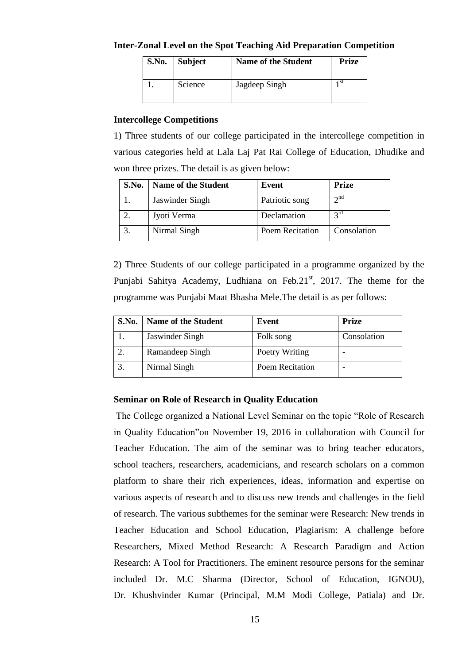#### **Inter-Zonal Level on the Spot Teaching Aid Preparation Competition**

| S.No. | Subject | <b>Name of the Student</b> | <b>Prize</b> |
|-------|---------|----------------------------|--------------|
|       | Science | Jagdeep Singh              | 1 St         |

#### **Intercollege Competitions**

1) Three students of our college participated in the intercollege competition in various categories held at Lala Laj Pat Rai College of Education, Dhudike and won three prizes. The detail is as given below:

| S.No. | <b>Name of the Student</b> | Event                  | <b>Prize</b>    |
|-------|----------------------------|------------------------|-----------------|
|       | Jaswinder Singh            | Patriotic song         | $\gamma$ nd     |
|       | Jyoti Verma                | Declamation            | $2^{\text{rd}}$ |
|       | Nirmal Singh               | <b>Poem Recitation</b> | Consolation     |

2) Three Students of our college participated in a programme organized by the Punjabi Sahitya Academy, Ludhiana on Feb.21<sup>st</sup>, 2017. The theme for the programme was Punjabi Maat Bhasha Mele.The detail is as per follows:

| S.No. | <b>Name of the Student</b> | Event           | <b>Prize</b> |
|-------|----------------------------|-----------------|--------------|
|       | Jaswinder Singh            | Folk song       | Consolation  |
|       | Ramandeep Singh            | Poetry Writing  |              |
|       | Nirmal Singh               | Poem Recitation |              |

### **Seminar on Role of Research in Quality Education**

The College organized a National Level Seminar on the topic "Role of Research in Quality Education"on November 19, 2016 in collaboration with Council for Teacher Education. The aim of the seminar was to bring teacher educators, school teachers, researchers, academicians, and research scholars on a common platform to share their rich experiences, ideas, information and expertise on various aspects of research and to discuss new trends and challenges in the field of research. The various subthemes for the seminar were Research: New trends in Teacher Education and School Education, Plagiarism: A challenge before Researchers, Mixed Method Research: A Research Paradigm and Action Research: A Tool for Practitioners. The eminent resource persons for the seminar included Dr. M.C Sharma (Director, School of Education, IGNOU), Dr. Khushvinder Kumar (Principal, M.M Modi College, Patiala) and Dr.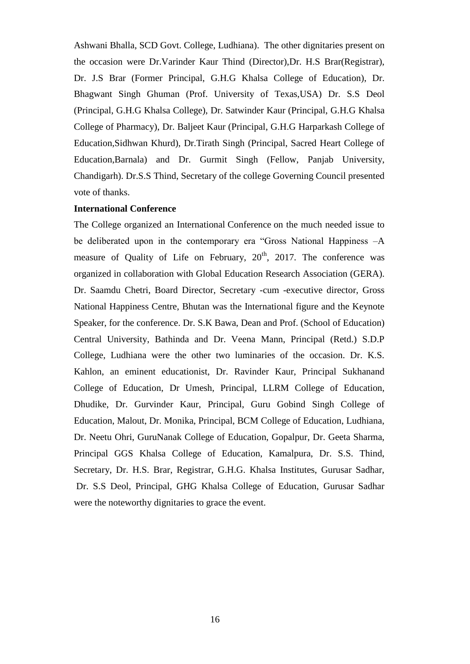Ashwani Bhalla, SCD Govt. College, Ludhiana). The other dignitaries present on the occasion were Dr.Varinder Kaur Thind (Director),Dr. H.S Brar(Registrar), Dr. J.S Brar (Former Principal, G.H.G Khalsa College of Education), Dr. Bhagwant Singh Ghuman (Prof. University of Texas,USA) Dr. S.S Deol (Principal, G.H.G Khalsa College), Dr. Satwinder Kaur (Principal, G.H.G Khalsa College of Pharmacy), Dr. Baljeet Kaur (Principal, G.H.G Harparkash College of Education,Sidhwan Khurd), Dr.Tirath Singh (Principal, Sacred Heart College of Education,Barnala) and Dr. Gurmit Singh (Fellow, Panjab University, Chandigarh). Dr.S.S Thind, Secretary of the college Governing Council presented vote of thanks.

#### **International Conference**

The College organized an International Conference on the much needed issue to be deliberated upon in the contemporary era "Gross National Happiness –A measure of Quality of Life on February,  $20<sup>th</sup>$ , 2017. The conference was organized in collaboration with Global Education Research Association (GERA). Dr. Saamdu Chetri, Board Director, Secretary -cum -executive director, Gross National Happiness Centre, Bhutan was the International figure and the Keynote Speaker, for the conference. Dr. S.K Bawa, Dean and Prof. (School of Education) Central University, Bathinda and Dr. Veena Mann, Principal (Retd.) S.D.P College, Ludhiana were the other two luminaries of the occasion. Dr. K.S. Kahlon, an eminent educationist, Dr. Ravinder Kaur, Principal Sukhanand College of Education, Dr Umesh, Principal, LLRM College of Education, Dhudike, Dr. Gurvinder Kaur, Principal, Guru Gobind Singh College of Education, Malout, Dr. Monika, Principal, BCM College of Education, Ludhiana, Dr. Neetu Ohri, GuruNanak College of Education, Gopalpur, Dr. Geeta Sharma, Principal GGS Khalsa College of Education, Kamalpura, Dr. S.S. Thind, Secretary, Dr. H.S. Brar, Registrar, G.H.G. Khalsa Institutes, Gurusar Sadhar, Dr. S.S Deol, Principal, GHG Khalsa College of Education, Gurusar Sadhar were the noteworthy dignitaries to grace the event.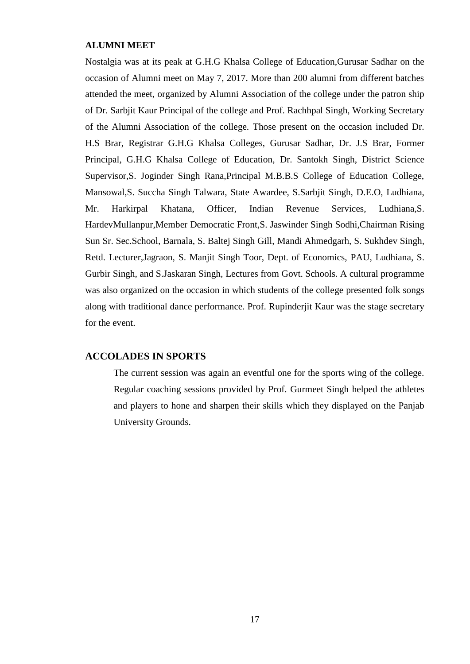#### **ALUMNI MEET**

Nostalgia was at its peak at G.H.G Khalsa College of Education,Gurusar Sadhar on the occasion of Alumni meet on May 7, 2017. More than 200 alumni from different batches attended the meet, organized by Alumni Association of the college under the patron ship of Dr. Sarbjit Kaur Principal of the college and Prof. Rachhpal Singh, Working Secretary of the Alumni Association of the college. Those present on the occasion included Dr. H.S Brar, Registrar G.H.G Khalsa Colleges, Gurusar Sadhar, Dr. J.S Brar, Former Principal, G.H.G Khalsa College of Education, Dr. Santokh Singh, District Science Supervisor,S. Joginder Singh Rana,Principal M.B.B.S College of Education College, Mansowal,S. Succha Singh Talwara, State Awardee, S.Sarbjit Singh, D.E.O, Ludhiana, Mr. Harkirpal Khatana, Officer, Indian Revenue Services, Ludhiana,S. HardevMullanpur,Member Democratic Front,S. Jaswinder Singh Sodhi,Chairman Rising Sun Sr. Sec.School, Barnala, S. Baltej Singh Gill, Mandi Ahmedgarh, S. Sukhdev Singh, Retd. Lecturer,Jagraon, S. Manjit Singh Toor, Dept. of Economics, PAU, Ludhiana, S. Gurbir Singh, and S.Jaskaran Singh, Lectures from Govt. Schools. A cultural programme was also organized on the occasion in which students of the college presented folk songs along with traditional dance performance. Prof. Rupinderjit Kaur was the stage secretary for the event.

#### **ACCOLADES IN SPORTS**

The current session was again an eventful one for the sports wing of the college. Regular coaching sessions provided by Prof. Gurmeet Singh helped the athletes and players to hone and sharpen their skills which they displayed on the Panjab University Grounds.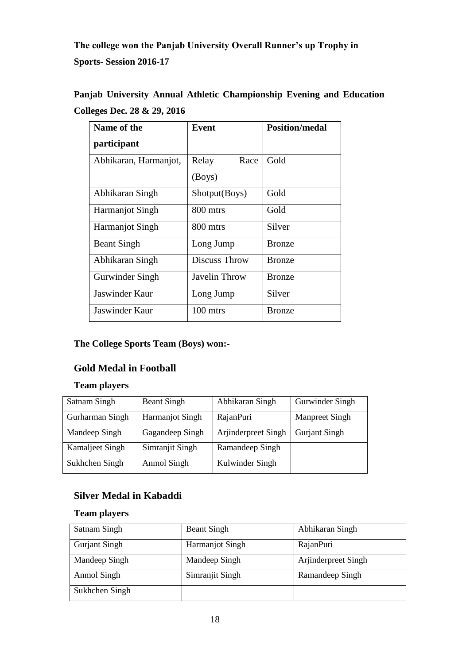**The college won the Panjab University Overall Runner's up Trophy in Sports- Session 2016-17**

| Name of the            | <b>Event</b>         | <b>Position/medal</b> |
|------------------------|----------------------|-----------------------|
| participant            |                      |                       |
| Abhikaran, Harmanjot,  | Race<br>Relay        | Gold                  |
|                        | (Boys)               |                       |
| Abhikaran Singh        | Shotput(Boys)        | Gold                  |
| <b>Harmanjot Singh</b> | 800 mtrs             | Gold                  |
| <b>Harmanjot Singh</b> | 800 mtrs             | Silver                |
| <b>Beant Singh</b>     | Long Jump            | <b>Bronze</b>         |
| Abhikaran Singh        | Discuss Throw        | <b>Bronze</b>         |
| Gurwinder Singh        | <b>Javelin Throw</b> | <b>Bronze</b>         |
| Jaswinder Kaur         | Long Jump            | Silver                |
| <b>Jaswinder Kaur</b>  | 100 mtrs             | <b>Bronze</b>         |

**Panjab University Annual Athletic Championship Evening and Education Colleges Dec. 28 & 29, 2016**

# **The College Sports Team (Boys) won:-**

# **Gold Medal in Football**

# **Team players**

| Satnam Singh    | <b>Beant Singh</b>     | Abhikaran Singh     | Gurwinder Singh      |
|-----------------|------------------------|---------------------|----------------------|
| Gurharman Singh | <b>Harmanjot Singh</b> | RajanPuri           | Manpreet Singh       |
| Mandeep Singh   | Gagandeep Singh        | Arjinderpreet Singh | <b>Gurjant Singh</b> |
| Kamaljeet Singh | Simranjit Singh        | Ramandeep Singh     |                      |
| Sukhchen Singh  | Anmol Singh            | Kulwinder Singh     |                      |

# **Silver Medal in Kabaddi**

# **Team players**

| Satnam Singh         | <b>Beant Singh</b>     | Abhikaran Singh     |
|----------------------|------------------------|---------------------|
| <b>Gurjant Singh</b> | <b>Harmanjot Singh</b> | RajanPuri           |
| Mandeep Singh        | Mandeep Singh          | Arjinderpreet Singh |
| Anmol Singh          | Simranjit Singh        | Ramandeep Singh     |
| Sukhchen Singh       |                        |                     |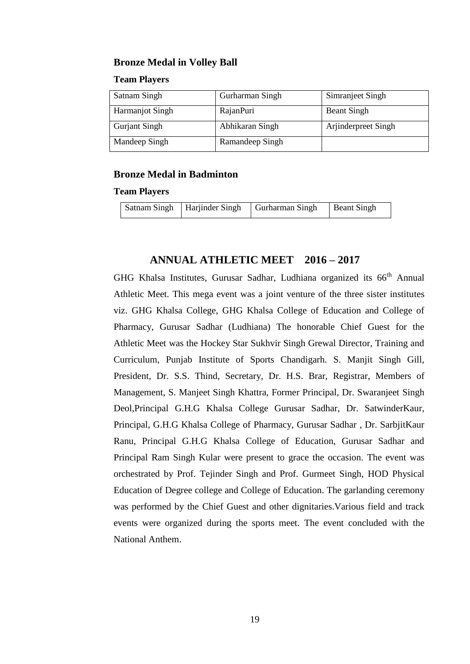### **Bronze Medal in Volley Ball**

#### **Team Players**

| Satnam Singh           | Gurharman Singh | Simranjeet Singh    |
|------------------------|-----------------|---------------------|
| <b>Harmanjot Singh</b> | RajanPuri       | <b>Beant Singh</b>  |
| <b>Gurjant Singh</b>   | Abhikaran Singh | Arjinderpreet Singh |
| Mandeep Singh          | Ramandeep Singh |                     |

#### **Bronze Medal in Badminton**

#### **Team Players**

| Satnam Singh   Harjinder Singh   Gurharman Singh   Beant Singh |  |
|----------------------------------------------------------------|--|
|----------------------------------------------------------------|--|

# **ANNUAL ATHLETIC MEET 2016 – 2017**

GHG Khalsa Institutes, Gurusar Sadhar, Ludhiana organized its  $66<sup>th</sup>$  Annual Athletic Meet. This mega event was a joint venture of the three sister institutes viz. GHG Khalsa College, GHG Khalsa College of Education and College of Pharmacy, Gurusar Sadhar (Ludhiana) The honorable Chief Guest for the Athletic Meet was the Hockey Star Sukhvir Singh Grewal Director, Training and Curriculum, Punjab Institute of Sports Chandigarh. S. Manjit Singh Gill, President, Dr. S.S. Thind, Secretary, Dr. H.S. Brar, Registrar, Members of Management*,* S. Manjeet Singh Khattra, Former Principal, Dr. Swaranjeet Singh Deol,Principal G.H.G Khalsa College Gurusar Sadhar, Dr. SatwinderKaur, Principal, G.H.G Khalsa College of Pharmacy, Gurusar Sadhar , Dr. SarbjitKaur Ranu, Principal G.H.G Khalsa College of Education, Gurusar Sadhar and Principal Ram Singh Kular were present to grace the occasion. The event was orchestrated by Prof. Tejinder Singh and Prof. Gurmeet Singh, HOD Physical Education of Degree college and College of Education. The garlanding ceremony was performed by the Chief Guest and other dignitaries.Various field and track events were organized during the sports meet. The event concluded with the National Anthem.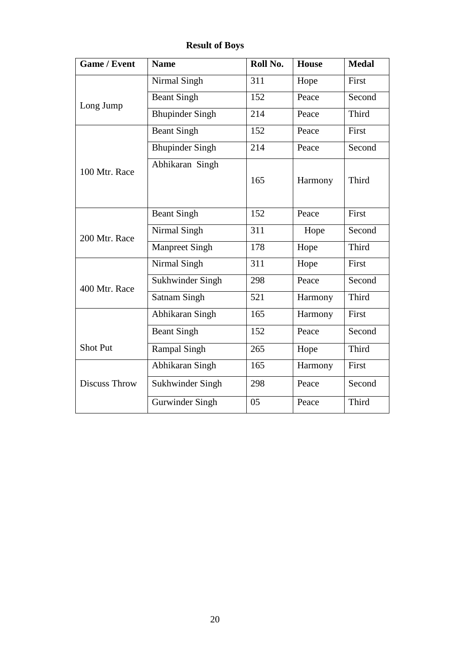| <b>Game / Event</b> | <b>Name</b>            | Roll No. | <b>House</b> | <b>Medal</b> |
|---------------------|------------------------|----------|--------------|--------------|
|                     | Nirmal Singh           | 311      | Hope         | First        |
| Long Jump           | <b>Beant Singh</b>     | 152      | Peace        | Second       |
|                     | <b>Bhupinder Singh</b> | 214      | Peace        | Third        |
|                     | <b>Beant Singh</b>     | 152      | Peace        | First        |
|                     | <b>Bhupinder Singh</b> | 214      | Peace        | Second       |
| 100 Mtr. Race       | Abhikaran Singh        | 165      | Harmony      | Third        |
|                     | <b>Beant Singh</b>     | 152      | Peace        | First        |
| 200 Mtr. Race       | Nirmal Singh           | 311      | Hope         | Second       |
|                     | <b>Manpreet Singh</b>  | 178      | Hope         | Third        |
|                     | Nirmal Singh           | 311      | Hope         | First        |
| 400 Mtr. Race       | Sukhwinder Singh       | 298      | Peace        | Second       |
|                     | <b>Satnam Singh</b>    | 521      | Harmony      | Third        |
|                     | Abhikaran Singh        | 165      | Harmony      | First        |
|                     | <b>Beant Singh</b>     | 152      | Peace        | Second       |
| <b>Shot Put</b>     | <b>Rampal Singh</b>    | 265      | Hope         | Third        |
|                     | Abhikaran Singh        | 165      | Harmony      | First        |
| Discuss Throw       | Sukhwinder Singh       | 298      | Peace        | Second       |
|                     | Gurwinder Singh        | 05       | Peace        | Third        |

**Result of Boys**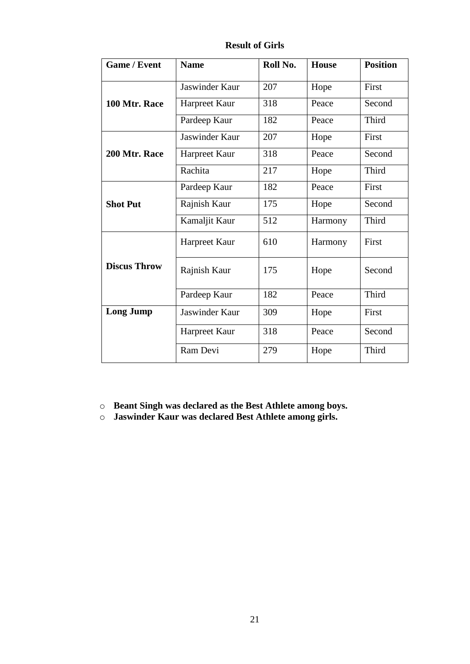| <b>Game / Event</b> | <b>Name</b>    | Roll No. | <b>House</b> | <b>Position</b> |
|---------------------|----------------|----------|--------------|-----------------|
|                     | Jaswinder Kaur | 207      | Hope         | First           |
| 100 Mtr. Race       | Harpreet Kaur  | 318      | Peace        | Second          |
|                     | Pardeep Kaur   | 182      | Peace        | Third           |
|                     | Jaswinder Kaur | 207      | Hope         | First           |
| 200 Mtr. Race       | Harpreet Kaur  | 318      | Peace        | Second          |
|                     | Rachita        | 217      | Hope         | Third           |
|                     | Pardeep Kaur   | 182      | Peace        | First           |
| <b>Shot Put</b>     | Rajnish Kaur   | 175      | Hope         | Second          |
|                     | Kamaljit Kaur  | 512      | Harmony      | <b>Third</b>    |
|                     | Harpreet Kaur  | 610      | Harmony      | First           |
| <b>Discus Throw</b> | Rajnish Kaur   | 175      | Hope         | Second          |
|                     | Pardeep Kaur   | 182      | Peace        | Third           |
| <b>Long Jump</b>    | Jaswinder Kaur | 309      | Hope         | First           |
|                     | Harpreet Kaur  | 318      | Peace        | Second          |
|                     | Ram Devi       | 279      | Hope         | Third           |

**Result of Girls**

o **Beant Singh was declared as the Best Athlete among boys.**

o **Jaswinder Kaur was declared Best Athlete among girls.**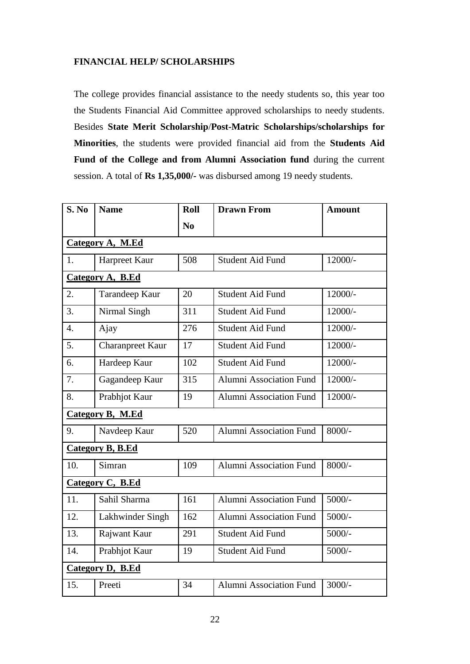# **FINANCIAL HELP/ SCHOLARSHIPS**

The college provides financial assistance to the needy students so, this year too the Students Financial Aid Committee approved scholarships to needy students. Besides **State Merit Scholarship**/**Post-Matric Scholarships/scholarships for Minorities**, the students were provided financial aid from the **Students Aid Fund of the College and from Alumni Association fund** during the current session. A total of **Rs 1,35,000/-** was disbursed among 19 needy students.

| S. No                   | <b>Name</b>             | Roll           | <b>Drawn From</b>              | <b>Amount</b> |  |  |
|-------------------------|-------------------------|----------------|--------------------------------|---------------|--|--|
|                         |                         | N <sub>0</sub> |                                |               |  |  |
| Category A, M.Ed        |                         |                |                                |               |  |  |
| 1.                      | Harpreet Kaur           | 508            | <b>Student Aid Fund</b>        | 12000/-       |  |  |
|                         | Category A, B.Ed        |                |                                |               |  |  |
| 2.                      | Tarandeep Kaur          | 20             | <b>Student Aid Fund</b>        | 12000/-       |  |  |
| 3.                      | Nirmal Singh            | 311            | <b>Student Aid Fund</b>        | 12000/-       |  |  |
| $\overline{4}$ .        | Ajay                    | 276            | <b>Student Aid Fund</b>        | $12000/-$     |  |  |
| 5.                      | <b>Charanpreet Kaur</b> | 17             | <b>Student Aid Fund</b>        | 12000/-       |  |  |
| 6.                      | Hardeep Kaur            | 102            | <b>Student Aid Fund</b>        | $12000/-$     |  |  |
| 7.                      | Gagandeep Kaur          | 315            | <b>Alumni Association Fund</b> | $12000/-$     |  |  |
| 8.                      | Prabhjot Kaur           | 19             | <b>Alumni Association Fund</b> | $12000/-$     |  |  |
|                         | Category B, M.Ed        |                |                                |               |  |  |
| 9.                      | Navdeep Kaur            | 520            | Alumni Association Fund        | 8000/-        |  |  |
|                         | <b>Category B, B.Ed</b> |                |                                |               |  |  |
| 10.                     | Simran                  | 109            | <b>Alumni Association Fund</b> | $8000/-$      |  |  |
|                         | Category C, B.Ed        |                |                                |               |  |  |
| 11.                     | Sahil Sharma            | 161            | <b>Alumni Association Fund</b> | $5000/-$      |  |  |
| 12.                     | Lakhwinder Singh        | 162            | <b>Alumni Association Fund</b> | $5000/-$      |  |  |
| 13.                     | Rajwant Kaur            | 291            | <b>Student Aid Fund</b>        | $5000/-$      |  |  |
| 14.                     | Prabhjot Kaur           | 19             | <b>Student Aid Fund</b>        | $5000/-$      |  |  |
| <b>Category D, B.Ed</b> |                         |                |                                |               |  |  |
| 15.                     | Preeti                  | 34             | <b>Alumni Association Fund</b> | $3000/-$      |  |  |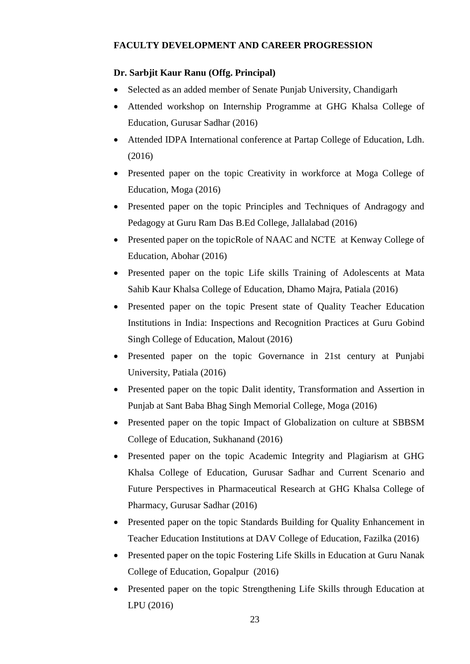# **FACULTY DEVELOPMENT AND CAREER PROGRESSION**

# **Dr. Sarbjit Kaur Ranu (Offg. Principal)**

- Selected as an added member of Senate Punjab University, Chandigarh
- Attended workshop on Internship Programme at GHG Khalsa College of Education, Gurusar Sadhar (2016)
- Attended IDPA International conference at Partap College of Education, Ldh. (2016)
- Presented paper on the topic Creativity in workforce at Moga College of Education, Moga (2016)
- Presented paper on the topic Principles and Techniques of Andragogy and Pedagogy at Guru Ram Das B.Ed College, Jallalabad (2016)
- Presented paper on the topicRole of NAAC and NCTE at Kenway College of Education, Abohar (2016)
- Presented paper on the topic Life skills Training of Adolescents at Mata Sahib Kaur Khalsa College of Education, Dhamo Majra, Patiala (2016)
- Presented paper on the topic Present state of Quality Teacher Education Institutions in India: Inspections and Recognition Practices at Guru Gobind Singh College of Education, Malout (2016)
- Presented paper on the topic Governance in 21st century at Punjabi University, Patiala (2016)
- Presented paper on the topic Dalit identity, Transformation and Assertion in Punjab at Sant Baba Bhag Singh Memorial College, Moga (2016)
- Presented paper on the topic Impact of Globalization on culture at SBBSM College of Education, Sukhanand (2016)
- Presented paper on the topic Academic Integrity and Plagiarism at GHG Khalsa College of Education, Gurusar Sadhar and Current Scenario and Future Perspectives in Pharmaceutical Research at GHG Khalsa College of Pharmacy, Gurusar Sadhar (2016)
- Presented paper on the topic Standards Building for Quality Enhancement in Teacher Education Institutions at DAV College of Education, Fazilka (2016)
- Presented paper on the topic Fostering Life Skills in Education at Guru Nanak College of Education, Gopalpur (2016)
- Presented paper on the topic Strengthening Life Skills through Education at LPU (2016)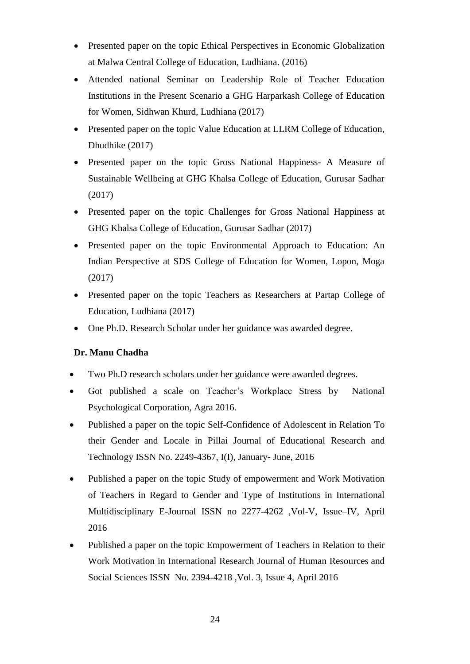- Presented paper on the topic Ethical Perspectives in Economic Globalization at Malwa Central College of Education, Ludhiana. (2016)
- Attended national Seminar on Leadership Role of Teacher Education Institutions in the Present Scenario a GHG Harparkash College of Education for Women, Sidhwan Khurd, Ludhiana (2017)
- Presented paper on the topic Value Education at LLRM College of Education, Dhudhike (2017)
- Presented paper on the topic Gross National Happiness- A Measure of Sustainable Wellbeing at GHG Khalsa College of Education, Gurusar Sadhar (2017)
- Presented paper on the topic Challenges for Gross National Happiness at GHG Khalsa College of Education, Gurusar Sadhar (2017)
- Presented paper on the topic Environmental Approach to Education: An Indian Perspective at SDS College of Education for Women, Lopon, Moga (2017)
- Presented paper on the topic Teachers as Researchers at Partap College of Education, Ludhiana (2017)
- One Ph.D. Research Scholar under her guidance was awarded degree.

# **Dr. Manu Chadha**

- Two Ph.D research scholars under her guidance were awarded degrees.
- Got published a scale on Teacher's Workplace Stress by National Psychological Corporation, Agra 2016.
- Published a paper on the topic Self-Confidence of Adolescent in Relation To their Gender and Locale in Pillai Journal of Educational Research and Technology ISSN No. 2249-4367, I(I), January- June, 2016
- Published a paper on the topic Study of empowerment and Work Motivation of Teachers in Regard to Gender and Type of Institutions in International Multidisciplinary E-Journal ISSN no 2277-4262 ,Vol-V, Issue–IV, April 2016
- Published a paper on the topic Empowerment of Teachers in Relation to their Work Motivation in International Research Journal of Human Resources and Social Sciences ISSN No. 2394-4218 ,Vol. 3, Issue 4, April 2016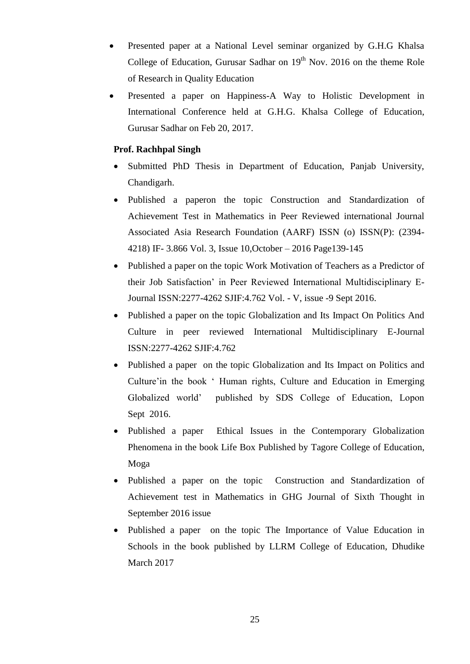- Presented paper at a National Level seminar organized by G.H.G Khalsa College of Education, Gurusar Sadhar on  $19<sup>th</sup>$  Nov. 2016 on the theme Role of Research in Quality Education
- Presented a paper on Happiness-A Way to Holistic Development in International Conference held at G.H.G. Khalsa College of Education, Gurusar Sadhar on Feb 20, 2017.

# **Prof. Rachhpal Singh**

- Submitted PhD Thesis in Department of Education, Panjab University, Chandigarh.
- Published a paperon the topic Construction and Standardization of Achievement Test in Mathematics in Peer Reviewed international Journal Associated Asia Research Foundation (AARF) ISSN (o) ISSN(P): (2394- 4218) IF- 3.866 Vol. 3, Issue 10,October – 2016 Page139-145
- Published a paper on the topic Work Motivation of Teachers as a Predictor of their Job Satisfaction' in Peer Reviewed International Multidisciplinary E-Journal ISSN:2277-4262 SJIF:4.762 Vol. - V, issue -9 Sept 2016.
- Published a paper on the topic Globalization and Its Impact On Politics And Culture in peer reviewed International Multidisciplinary E-Journal ISSN:2277-4262 SJIF:4.762
- Published a paper on the topic Globalization and Its Impact on Politics and Culture'in the book ' Human rights, Culture and Education in Emerging Globalized world' published by SDS College of Education, Lopon Sept 2016.
- Published a paper Ethical Issues in the Contemporary Globalization Phenomena in the book Life Box Published by Tagore College of Education, Moga
- Published a paper on the topic Construction and Standardization of Achievement test in Mathematics in GHG Journal of Sixth Thought in September 2016 issue
- Published a paper on the topic The Importance of Value Education in Schools in the book published by LLRM College of Education, Dhudike March 2017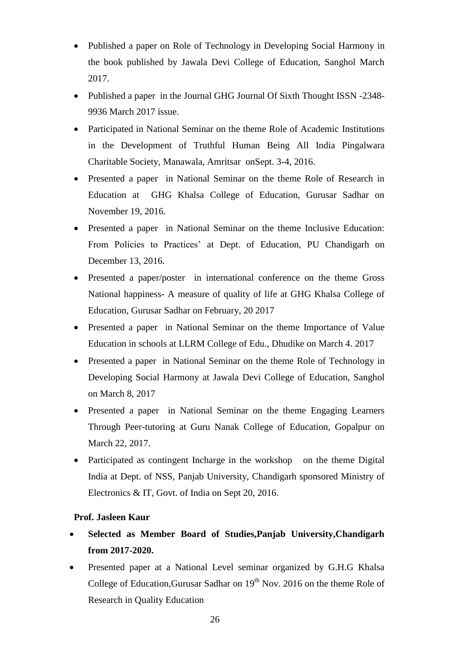- Published a paper on Role of Technology in Developing Social Harmony in the book published by Jawala Devi College of Education, Sanghol March 2017.
- Published a paper in the Journal GHG Journal Of Sixth Thought ISSN -2348- 9936 March 2017 issue.
- Participated in National Seminar on the theme Role of Academic Institutions in the Development of Truthful Human Being All India Pingalwara Charitable Society, Manawala, Amritsar onSept. 3-4, 2016.
- Presented a paper in National Seminar on the theme Role of Research in Education at GHG Khalsa College of Education, Gurusar Sadhar on November 19, 2016.
- Presented a paper in National Seminar on the theme Inclusive Education: From Policies to Practices' at Dept. of Education, PU Chandigarh on December 13, 2016.
- Presented a paper/poster in international conference on the theme Gross National happiness- A measure of quality of life at GHG Khalsa College of Education, Gurusar Sadhar on February, 20 2017
- Presented a paper in National Seminar on the theme Importance of Value Education in schools at LLRM College of Edu., Dhudike on March 4. 2017
- Presented a paper in National Seminar on the theme Role of Technology in Developing Social Harmony at Jawala Devi College of Education, Sanghol on March 8, 2017
- Presented a paper in National Seminar on the theme Engaging Learners Through Peer-tutoring at Guru Nanak College of Education, Gopalpur on March 22, 2017.
- Participated as contingent Incharge in the workshop on the theme Digital India at Dept. of NSS, Panjab University, Chandigarh sponsored Ministry of Electronics & IT, Govt. of India on Sept 20, 2016.

# **Prof. Jasleen Kaur**

- **Selected as Member Board of Studies,Panjab University,Chandigarh from 2017-2020.**
- Presented paper at a National Level seminar organized by G.H.G Khalsa College of Education, Gurusar Sadhar on  $19<sup>th</sup>$  Nov. 2016 on the theme Role of Research in Quality Education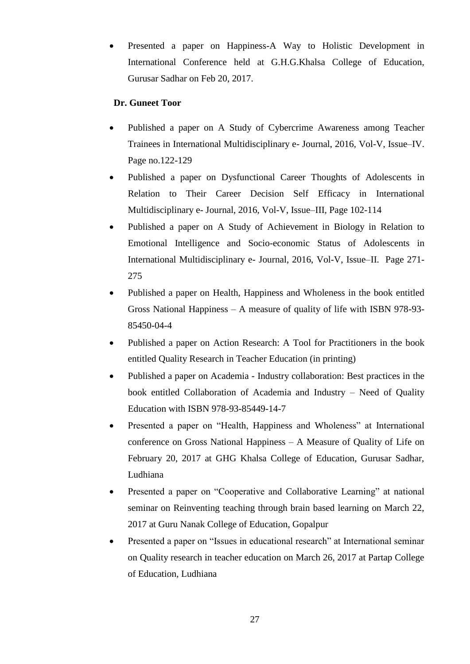Presented a paper on Happiness-A Way to Holistic Development in International Conference held at G.H.G.Khalsa College of Education, Gurusar Sadhar on Feb 20, 2017.

# **Dr. Guneet Toor**

- Published a paper on A Study of Cybercrime Awareness among Teacher Trainees in International Multidisciplinary e- Journal, 2016, Vol-V, Issue–IV. Page no.122-129
- Published a paper on Dysfunctional Career Thoughts of Adolescents in Relation to Their Career Decision Self Efficacy in International Multidisciplinary e- Journal, 2016, Vol-V, Issue–III, Page 102-114
- Published a paper on A Study of Achievement in Biology in Relation to Emotional Intelligence and Socio-economic Status of Adolescents in International Multidisciplinary e- Journal, 2016, Vol-V, Issue–II. Page 271- 275
- Published a paper on Health, Happiness and Wholeness in the book entitled Gross National Happiness – A measure of quality of life with ISBN 978-93- 85450-04-4
- Published a paper on Action Research: A Tool for Practitioners in the book entitled Quality Research in Teacher Education (in printing)
- Published a paper on Academia Industry collaboration: Best practices in the book entitled Collaboration of Academia and Industry – Need of Quality Education with ISBN 978-93-85449-14-7
- Presented a paper on "Health, Happiness and Wholeness" at International conference on Gross National Happiness – A Measure of Quality of Life on February 20, 2017 at GHG Khalsa College of Education, Gurusar Sadhar, Ludhiana
- Presented a paper on "Cooperative and Collaborative Learning" at national seminar on Reinventing teaching through brain based learning on March 22, 2017 at Guru Nanak College of Education, Gopalpur
- Presented a paper on "Issues in educational research" at International seminar on Quality research in teacher education on March 26, 2017 at Partap College of Education, Ludhiana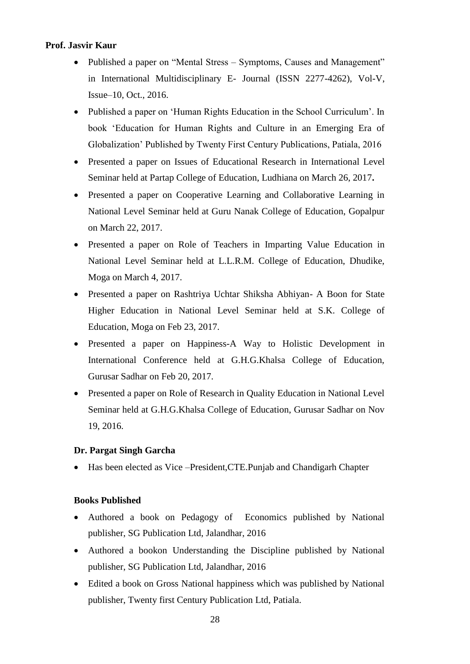# **Prof. Jasvir Kaur**

- Published a paper on "Mental Stress Symptoms, Causes and Management" in International Multidisciplinary E- Journal (ISSN 2277-4262), Vol-V, Issue–10, Oct., 2016.
- Published a paper on 'Human Rights Education in the School Curriculum'. In book 'Education for Human Rights and Culture in an Emerging Era of Globalization' Published by Twenty First Century Publications, Patiala, 2016
- Presented a paper on Issues of Educational Research in International Level Seminar held at Partap College of Education, Ludhiana on March 26, 2017**.**
- Presented a paper on Cooperative Learning and Collaborative Learning in National Level Seminar held at Guru Nanak College of Education, Gopalpur on March 22, 2017.
- Presented a paper on Role of Teachers in Imparting Value Education in National Level Seminar held at L.L.R.M. College of Education, Dhudike, Moga on March 4, 2017.
- Presented a paper on Rashtriya Uchtar Shiksha Abhiyan- A Boon for State Higher Education in National Level Seminar held at S.K. College of Education, Moga on Feb 23, 2017.
- Presented a paper on Happiness-A Way to Holistic Development in International Conference held at G.H.G.Khalsa College of Education, Gurusar Sadhar on Feb 20, 2017.
- Presented a paper on Role of Research in Quality Education in National Level Seminar held at G.H.G.Khalsa College of Education, Gurusar Sadhar on Nov 19, 2016.

# **Dr. Pargat Singh Garcha**

Has been elected as Vice –President,CTE.Punjab and Chandigarh Chapter

### **Books Published**

- Authored a book on Pedagogy of Economics published by National publisher, SG Publication Ltd, Jalandhar, 2016
- Authored a bookon Understanding the Discipline published by National publisher, SG Publication Ltd, Jalandhar, 2016
- Edited a book on Gross National happiness which was published by National publisher, Twenty first Century Publication Ltd, Patiala.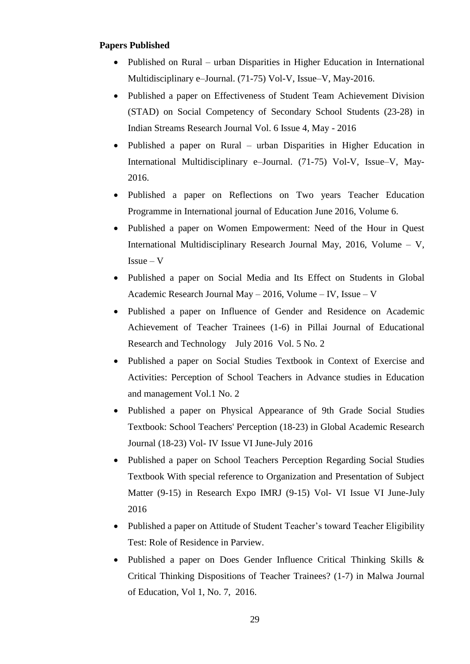### **Papers Published**

- Published on Rural urban Disparities in Higher Education in International Multidisciplinary e–Journal. (71-75) Vol-V, Issue–V, May-2016.
- Published a paper on Effectiveness of Student Team Achievement Division (STAD) on Social Competency of Secondary School Students (23-28) in Indian Streams Research Journal Vol. 6 Issue 4, May - 2016
- Published a paper on Rural urban Disparities in Higher Education in International Multidisciplinary e–Journal. (71-75) Vol-V, Issue–V, May-2016.
- Published a paper on Reflections on Two years Teacher Education Programme in International journal of Education June 2016, Volume 6.
- Published a paper on Women Empowerment: Need of the Hour in Quest International Multidisciplinary Research Journal May, 2016, Volume – V,  $I$ ssue –  $V$
- Published a paper on Social Media and Its Effect on Students in Global Academic Research Journal May – 2016, Volume – IV, Issue – V
- Published a paper on Influence of Gender and Residence on Academic Achievement of Teacher Trainees (1-6) in Pillai Journal of Educational Research and Technology July 2016 Vol. 5 No. 2
- Published a paper on Social Studies Textbook in Context of Exercise and Activities: Perception of School Teachers in Advance studies in Education and management Vol.1 No. 2
- Published a paper on Physical Appearance of 9th Grade Social Studies Textbook: School Teachers' Perception (18-23) in Global Academic Research Journal (18-23) Vol- IV Issue VI June-July 2016
- Published a paper on School Teachers Perception Regarding Social Studies Textbook With special reference to Organization and Presentation of Subject Matter (9-15) in Research Expo IMRJ (9-15) Vol- VI Issue VI June-July 2016
- Published a paper on Attitude of Student Teacher's toward Teacher Eligibility Test: Role of Residence in Parview.
- Published a paper on Does Gender Influence Critical Thinking Skills & Critical Thinking Dispositions of Teacher Trainees? (1-7) in Malwa Journal of Education, Vol 1, No. 7, 2016.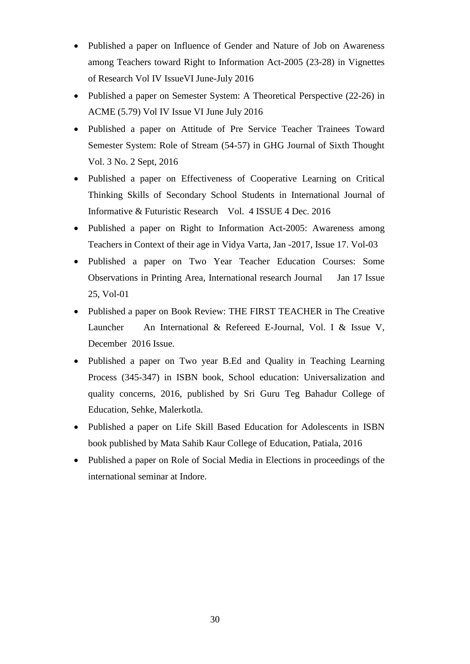- Published a paper on Influence of Gender and Nature of Job on Awareness among Teachers toward Right to Information Act-2005 (23-28) in Vignettes of Research Vol IV IssueVI June-July 2016
- Published a paper on Semester System: A Theoretical Perspective (22-26) in ACME (5.79) Vol IV Issue VI June July 2016
- Published a paper on Attitude of Pre Service Teacher Trainees Toward Semester System: Role of Stream (54-57) in GHG Journal of Sixth Thought Vol. 3 No. 2 Sept, 2016
- Published a paper on Effectiveness of Cooperative Learning on Critical Thinking Skills of Secondary School Students in International Journal of Informative & Futuristic Research Vol. 4 ISSUE 4 Dec. 2016
- Published a paper on Right to Information Act-2005: Awareness among Teachers in Context of their age in Vidya Varta, Jan -2017, Issue 17. Vol-03
- Published a paper on Two Year Teacher Education Courses: Some Observations in Printing Area, International research Journal Jan 17 Issue 25, Vol-01
- Published a paper on Book Review: THE FIRST TEACHER in The Creative Launcher An International & Refereed E-Journal, Vol. I & Issue V, December 2016 Issue.
- Published a paper on Two year B.Ed and Quality in Teaching Learning Process (345-347) in ISBN book, School education: Universalization and quality concerns, 2016, published by Sri Guru Teg Bahadur College of Education, Sehke, Malerkotla.
- Published a paper on Life Skill Based Education for Adolescents in ISBN book published by Mata Sahib Kaur College of Education, Patiala, 2016
- Published a paper on Role of Social Media in Elections in proceedings of the international seminar at Indore.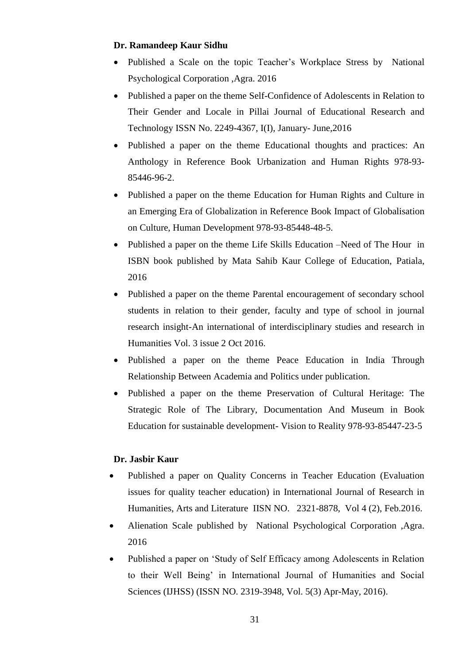## **Dr. Ramandeep Kaur Sidhu**

- Published a Scale on the topic Teacher's Workplace Stress by National Psychological Corporation ,Agra. 2016
- Published a paper on the theme Self-Confidence of Adolescents in Relation to Their Gender and Locale in Pillai Journal of Educational Research and Technology ISSN No. 2249-4367, I(I), January- June,2016
- Published a paper on the theme Educational thoughts and practices: An Anthology in Reference Book Urbanization and Human Rights 978-93- 85446-96-2.
- Published a paper on the theme Education for Human Rights and Culture in an Emerging Era of Globalization in Reference Book Impact of Globalisation on Culture, Human Development 978-93-85448-48-5.
- Published a paper on the theme Life Skills Education –Need of The Hour in ISBN book published by Mata Sahib Kaur College of Education, Patiala, 2016
- Published a paper on the theme Parental encouragement of secondary school students in relation to their gender, faculty and type of school in journal research insight-An international of interdisciplinary studies and research in Humanities Vol. 3 issue 2 Oct 2016.
- Published a paper on the theme Peace Education in India Through Relationship Between Academia and Politics under publication.
- Published a paper on the theme Preservation of Cultural Heritage: The Strategic Role of The Library, Documentation And Museum in Book Education for sustainable development- Vision to Reality 978-93-85447-23-5

# **Dr. Jasbir Kaur**

- Published a paper on Quality Concerns in Teacher Education (Evaluation issues for quality teacher education) in International Journal of Research in Humanities, Arts and Literature IISN NO. 2321-8878, Vol 4 (2), Feb.2016.
- Alienation Scale published by National Psychological Corporation ,Agra. 2016
- Published a paper on 'Study of Self Efficacy among Adolescents in Relation to their Well Being' in International Journal of Humanities and Social Sciences (IJHSS) (ISSN NO. 2319-3948, Vol. 5(3) Apr-May, 2016).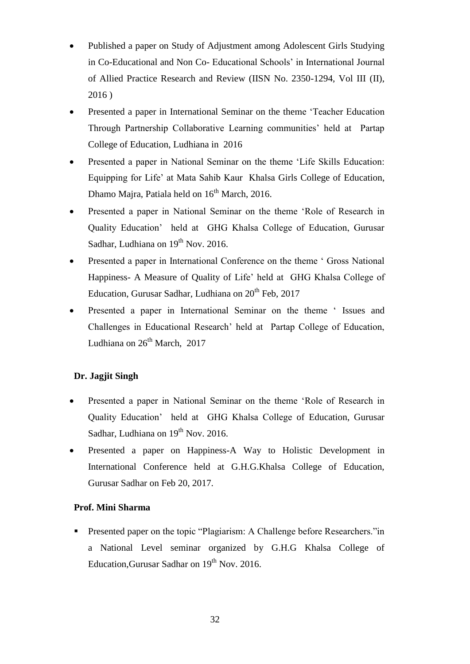- Published a paper on Study of Adjustment among Adolescent Girls Studying in Co-Educational and Non Co- Educational Schools' in International Journal of Allied Practice Research and Review (IISN No. 2350-1294, Vol III (II), 2016 )
- Presented a paper in International Seminar on the theme 'Teacher Education Through Partnership Collaborative Learning communities' held at Partap College of Education, Ludhiana in 2016
- Presented a paper in National Seminar on the theme 'Life Skills Education: Equipping for Life' at Mata Sahib Kaur Khalsa Girls College of Education, Dhamo Majra, Patiala held on  $16<sup>th</sup>$  March, 2016.
- Presented a paper in National Seminar on the theme 'Role of Research in Quality Education' held at GHG Khalsa College of Education, Gurusar Sadhar, Ludhiana on  $19<sup>th</sup>$  Nov. 2016.
- Presented a paper in International Conference on the theme ' Gross National Happiness- A Measure of Quality of Life' held at GHG Khalsa College of Education, Gurusar Sadhar, Ludhiana on 20<sup>th</sup> Feb, 2017
- Presented a paper in International Seminar on the theme ' Issues and Challenges in Educational Research' held at Partap College of Education, Ludhiana on  $26^{th}$  March, 2017

# **Dr. Jagjit Singh**

- Presented a paper in National Seminar on the theme 'Role of Research in Quality Education' held at GHG Khalsa College of Education, Gurusar Sadhar, Ludhiana on  $19<sup>th</sup>$  Nov. 2016.
- Presented a paper on Happiness-A Way to Holistic Development in International Conference held at G.H.G.Khalsa College of Education, Gurusar Sadhar on Feb 20, 2017.

# **Prof. Mini Sharma**

**Presented paper on the topic "Plagiarism: A Challenge before Researchers."**in a National Level seminar organized by G.H.G Khalsa College of Education, Gurusar Sadhar on  $19<sup>th</sup>$  Nov. 2016.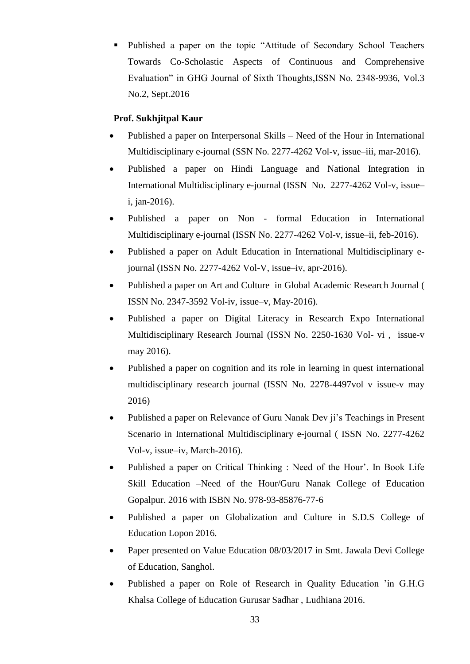Published a paper on the topic "Attitude of Secondary School Teachers Towards Co-Scholastic Aspects of Continuous and Comprehensive Evaluation" in GHG Journal of Sixth Thoughts,ISSN No. 2348-9936, Vol.3 No.2, Sept.2016

# **Prof. Sukhjitpal Kaur**

- Published a paper on Interpersonal Skills Need of the Hour in International Multidisciplinary e-journal (SSN No. 2277-4262 Vol-v, issue–iii, mar-2016).
- Published a paper on Hindi Language and National Integration in International Multidisciplinary e-journal (ISSN No. 2277-4262 Vol-v, issue– i, jan-2016).
- Published a paper on Non formal Education in International Multidisciplinary e-journal (ISSN No. 2277-4262 Vol-v, issue–ii, feb-2016).
- Published a paper on Adult Education in International Multidisciplinary ejournal (ISSN No. 2277-4262 Vol-V, issue–iv, apr-2016).
- Published a paper on Art and Culture in Global Academic Research Journal ( ISSN No. 2347-3592 Vol-iv, issue–v, May-2016).
- Published a paper on Digital Literacy in Research Expo International Multidisciplinary Research Journal (ISSN No. 2250-1630 Vol- vi , issue-v may 2016).
- Published a paper on cognition and its role in learning in quest international multidisciplinary research journal (ISSN No. 2278-4497vol v issue-v may 2016)
- Published a paper on Relevance of Guru Nanak Dev ji's Teachings in Present Scenario in International Multidisciplinary e-journal ( ISSN No. 2277-4262 Vol-v, issue–iv, March-2016).
- Published a paper on Critical Thinking : Need of the Hour'. In Book Life Skill Education –Need of the Hour/Guru Nanak College of Education Gopalpur. 2016 with ISBN No. 978-93-85876-77-6
- Published a paper on Globalization and Culture in S.D.S College of Education Lopon 2016.
- Paper presented on Value Education 08/03/2017 in Smt. Jawala Devi College of Education, Sanghol.
- Published a paper on Role of Research in Quality Education 'in G.H.G Khalsa College of Education Gurusar Sadhar , Ludhiana 2016.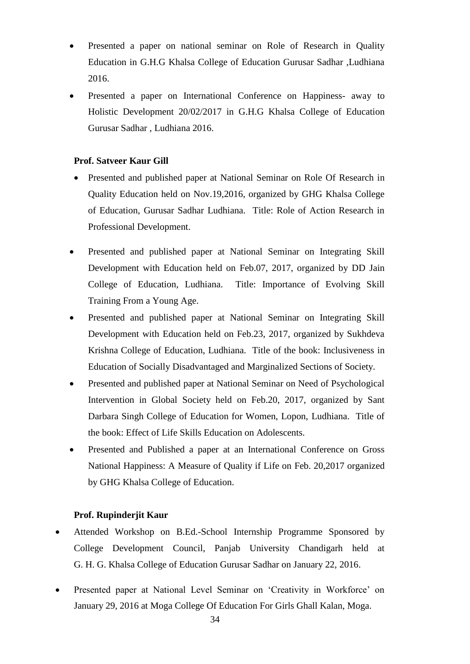- Presented a paper on national seminar on Role of Research in Quality Education in G.H.G Khalsa College of Education Gurusar Sadhar ,Ludhiana 2016.
- Presented a paper on International Conference on Happiness- away to Holistic Development 20/02/2017 in G.H.G Khalsa College of Education Gurusar Sadhar , Ludhiana 2016.

### **Prof. Satveer Kaur Gill**

- Presented and published paper at National Seminar on Role Of Research in Quality Education held on Nov.19,2016, organized by GHG Khalsa College of Education, Gurusar Sadhar Ludhiana. Title: Role of Action Research in Professional Development.
- Presented and published paper at National Seminar on Integrating Skill Development with Education held on Feb.07, 2017, organized by DD Jain College of Education, Ludhiana. Title: Importance of Evolving Skill Training From a Young Age.
- Presented and published paper at National Seminar on Integrating Skill Development with Education held on Feb.23, 2017, organized by Sukhdeva Krishna College of Education, Ludhiana. Title of the book: Inclusiveness in Education of Socially Disadvantaged and Marginalized Sections of Society.
- Presented and published paper at National Seminar on Need of Psychological Intervention in Global Society held on Feb.20, 2017, organized by Sant Darbara Singh College of Education for Women, Lopon, Ludhiana. Title of the book: Effect of Life Skills Education on Adolescents.
- Presented and Published a paper at an International Conference on Gross National Happiness: A Measure of Quality if Life on Feb. 20,2017 organized by GHG Khalsa College of Education.

### **Prof. Rupinderjit Kaur**

- Attended Workshop on B.Ed.-School Internship Programme Sponsored by College Development Council, Panjab University Chandigarh held at G. H. G. Khalsa College of Education Gurusar Sadhar on January 22, 2016.
- Presented paper at National Level Seminar on 'Creativity in Workforce' on January 29, 2016 at Moga College Of Education For Girls Ghall Kalan, Moga.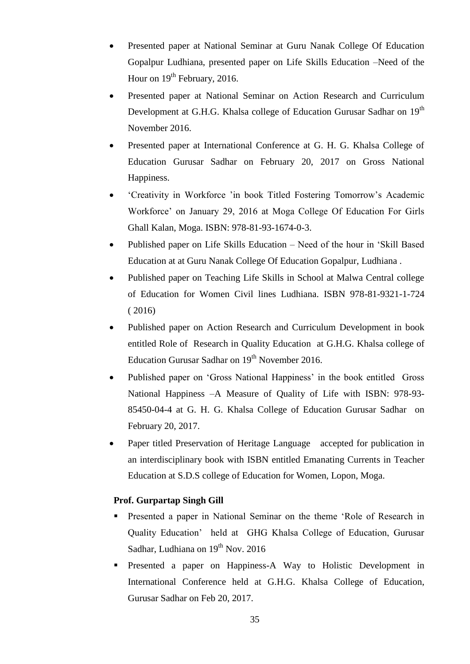- Presented paper at National Seminar at Guru Nanak College Of Education Gopalpur Ludhiana, presented paper on Life Skills Education –Need of the Hour on  $19<sup>th</sup>$  February, 2016.
- Presented paper at National Seminar on Action Research and Curriculum Development at G.H.G. Khalsa college of Education Gurusar Sadhar on 19<sup>th</sup> November 2016.
- Presented paper at International Conference at G. H. G. Khalsa College of Education Gurusar Sadhar on February 20, 2017 on Gross National Happiness.
- 'Creativity in Workforce 'in book Titled Fostering Tomorrow's Academic Workforce' on January 29, 2016 at Moga College Of Education For Girls Ghall Kalan, Moga. ISBN: 978-81-93-1674-0-3.
- Published paper on Life Skills Education Need of the hour in 'Skill Based Education at at Guru Nanak College Of Education Gopalpur, Ludhiana .
- Published paper on Teaching Life Skills in School at Malwa Central college of Education for Women Civil lines Ludhiana. ISBN 978-81-9321-1-724 ( 2016)
- Published paper on Action Research and Curriculum Development in book entitled Role of Research in Quality Education at G.H.G. Khalsa college of Education Gurusar Sadhar on  $19<sup>th</sup>$  November 2016.
- Published paper on 'Gross National Happiness' in the book entitled Gross National Happiness –A Measure of Quality of Life with ISBN: 978-93- 85450-04-4 at G. H. G. Khalsa College of Education Gurusar Sadhar on February 20, 2017.
- Paper titled Preservation of Heritage Language accepted for publication in an interdisciplinary book with ISBN entitled Emanating Currents in Teacher Education at S.D.S college of Education for Women, Lopon, Moga.

# **Prof. Gurpartap Singh Gill**

- **Presented a paper in National Seminar on the theme 'Role of Research in** Quality Education' held at GHG Khalsa College of Education, Gurusar Sadhar, Ludhiana on  $19^{th}$  Nov. 2016
- Presented a paper on Happiness-A Way to Holistic Development in International Conference held at G.H.G. Khalsa College of Education, Gurusar Sadhar on Feb 20, 2017.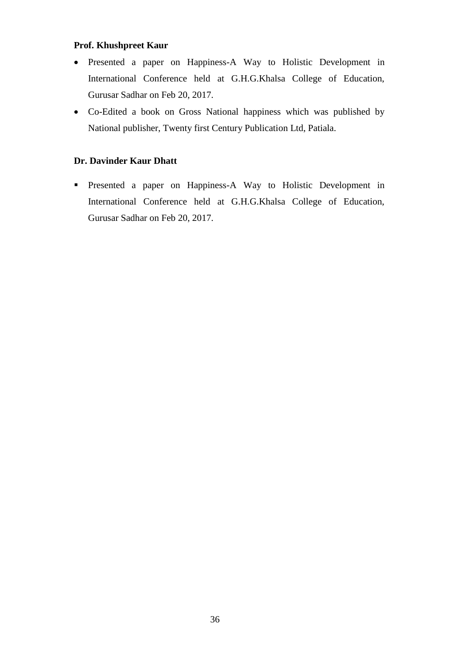# **Prof. Khushpreet Kaur**

- Presented a paper on Happiness-A Way to Holistic Development in International Conference held at G.H.G.Khalsa College of Education, Gurusar Sadhar on Feb 20, 2017.
- Co-Edited a book on Gross National happiness which was published by National publisher, Twenty first Century Publication Ltd, Patiala.

# **Dr. Davinder Kaur Dhatt**

 Presented a paper on Happiness-A Way to Holistic Development in International Conference held at G.H.G.Khalsa College of Education, Gurusar Sadhar on Feb 20, 2017.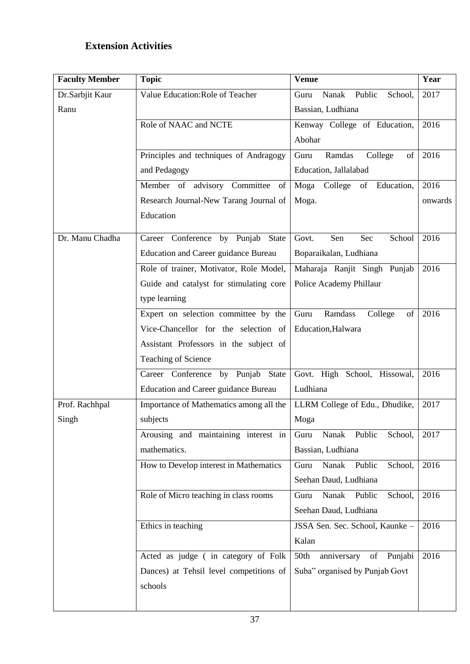# **Extension Activities**

| <b>Faculty Member</b> | <b>Topic</b>                            | <b>Venue</b>                       | Year    |
|-----------------------|-----------------------------------------|------------------------------------|---------|
| Dr.Sarbjit Kaur       | Value Education: Role of Teacher        | Nanak<br>Public<br>School,<br>Guru | 2017    |
| Ranu                  |                                         | Bassian, Ludhiana                  |         |
|                       | Role of NAAC and NCTE                   | Kenway College of Education,       | 2016    |
|                       |                                         | Abohar                             |         |
|                       | Principles and techniques of Andragogy  | Guru<br>Ramdas<br>College<br>of    | 2016    |
|                       | and Pedagogy                            | Education, Jallalabad              |         |
|                       | Member of advisory Committee<br>of      | Moga<br>College<br>of Education,   | 2016    |
|                       | Research Journal-New Tarang Journal of  | Moga.                              | onwards |
|                       | Education                               |                                    |         |
| Dr. Manu Chadha       | Career Conference by Punjab State       | Govt.<br>Sen<br>Sec<br>School      | 2016    |
|                       | Education and Career guidance Bureau    | Boparaikalan, Ludhiana             |         |
|                       | Role of trainer, Motivator, Role Model, | Maharaja Ranjit Singh Punjab       | 2016    |
|                       | Guide and catalyst for stimulating core | Police Academy Phillaur            |         |
|                       | type learning                           |                                    |         |
|                       | Expert on selection committee by the    | Ramdass<br>College<br>Guru<br>of   | 2016    |
|                       | Vice-Chancellor for the selection of    | Education, Halwara                 |         |
|                       | Assistant Professors in the subject of  |                                    |         |
|                       | Teaching of Science                     |                                    |         |
|                       | Career Conference by Punjab State       | Govt. High School, Hissowal,       | 2016    |
|                       | Education and Career guidance Bureau    | Ludhiana                           |         |
| Prof. Rachhpal        | Importance of Mathematics among all the | LLRM College of Edu., Dhudike,     | 2017    |
| Singh                 | subjects                                | Moga                               |         |
|                       | Arousing and maintaining interest in    | Nanak<br>Public<br>School,<br>Guru | 2017    |
|                       | mathematics.                            | Bassian, Ludhiana                  |         |
|                       | How to Develop interest in Mathematics  | Nanak<br>Public<br>School,<br>Guru | 2016    |
|                       |                                         | Seehan Daud, Ludhiana              |         |
|                       | Role of Micro teaching in class rooms   | Nanak<br>Guru<br>Public<br>School, | 2016    |
|                       |                                         | Seehan Daud, Ludhiana              |         |
|                       | Ethics in teaching                      | JSSA Sen. Sec. School, Kaunke -    | 2016    |
|                       |                                         | Kalan                              |         |
|                       | Acted as judge (in category of Folk     | of Punjabi<br>50th<br>anniversary  | 2016    |
|                       | Dances) at Tehsil level competitions of | Suba" organised by Punjab Govt     |         |
|                       | schools                                 |                                    |         |
|                       |                                         |                                    |         |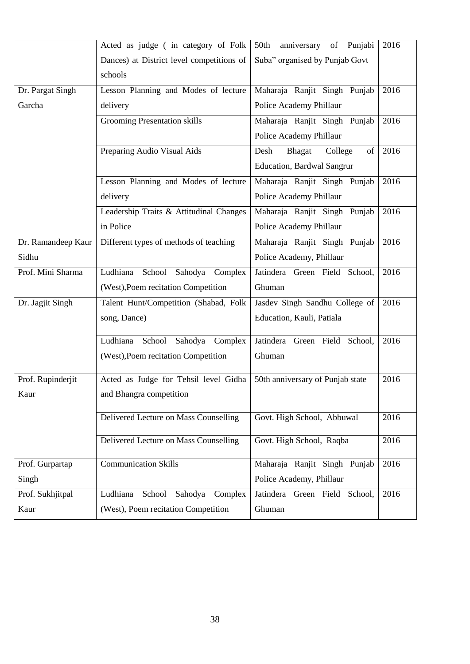|                    | Acted as judge (in category of Folk       | anniversary of Punjabi<br>50th   | 2016 |
|--------------------|-------------------------------------------|----------------------------------|------|
|                    | Dances) at District level competitions of | Suba" organised by Punjab Govt   |      |
|                    | schools                                   |                                  |      |
| Dr. Pargat Singh   | Lesson Planning and Modes of lecture      | Maharaja Ranjit Singh Punjab     | 2016 |
| Garcha             | delivery                                  | Police Academy Phillaur          |      |
|                    | <b>Grooming Presentation skills</b>       | Maharaja Ranjit Singh Punjab     | 2016 |
|                    |                                           | Police Academy Phillaur          |      |
|                    | Preparing Audio Visual Aids               | Desh<br>Bhagat<br>College<br>of  | 2016 |
|                    |                                           | Education, Bardwal Sangrur       |      |
|                    | Lesson Planning and Modes of lecture      | Maharaja Ranjit Singh Punjab     | 2016 |
|                    | delivery                                  | Police Academy Phillaur          |      |
|                    | Leadership Traits & Attitudinal Changes   | Maharaja Ranjit Singh Punjab     | 2016 |
|                    | in Police                                 | Police Academy Phillaur          |      |
| Dr. Ramandeep Kaur | Different types of methods of teaching    | Maharaja Ranjit Singh Punjab     | 2016 |
| Sidhu              |                                           | Police Academy, Phillaur         |      |
| Prof. Mini Sharma  | Ludhiana School Sahodya Complex           | Jatindera Green Field School,    | 2016 |
|                    | (West), Poem recitation Competition       | Ghuman                           |      |
| Dr. Jagjit Singh   | Talent Hunt/Competition (Shabad, Folk     | Jasdev Singh Sandhu College of   | 2016 |
|                    | song, Dance)                              | Education, Kauli, Patiala        |      |
|                    | Ludhiana<br>School Sahodya Complex        | Jatindera Green Field School,    | 2016 |
|                    | (West), Poem recitation Competition       | Ghuman                           |      |
| Prof. Rupinderjit  | Acted as Judge for Tehsil level Gidha     | 50th anniversary of Punjab state | 2016 |
| Kaur               | and Bhangra competition                   |                                  |      |
|                    | Delivered Lecture on Mass Counselling     | Govt. High School, Abbuwal       | 2016 |
|                    | Delivered Lecture on Mass Counselling     | Govt. High School, Raqba         | 2016 |
|                    |                                           |                                  |      |
| Prof. Gurpartap    | <b>Communication Skills</b>               | Maharaja Ranjit Singh Punjab     | 2016 |
| Singh              |                                           | Police Academy, Phillaur         |      |
| Prof. Sukhjitpal   | Ludhiana<br>School<br>Sahodya<br>Complex  | Jatindera Green Field School,    | 2016 |
| Kaur               | (West), Poem recitation Competition       | Ghuman                           |      |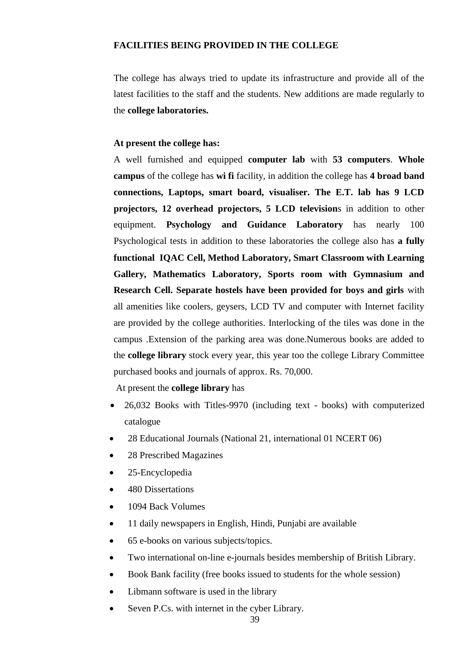#### **FACILITIES BEING PROVIDED IN THE COLLEGE**

The college has always tried to update its infrastructure and provide all of the latest facilities to the staff and the students. New additions are made regularly to the **college laboratories.**

#### **At present the college has:**

A well furnished and equipped **computer lab** with **53 computers**. **Whole campus** of the college has **wi fi** facility, in addition the college has **4 broad band connections, Laptops, smart board, visualiser. The E.T. lab has 9 LCD projectors, 12 overhead projectors, 5 LCD television**s in addition to other equipment. **Psychology and Guidance Laboratory** has nearly 100 Psychological tests in addition to these laboratories the college also has **a fully functional IQAC Cell, Method Laboratory, Smart Classroom with Learning Gallery, Mathematics Laboratory, Sports room with Gymnasium and Research Cell. Separate hostels have been provided for boys and girls** with all amenities like coolers, geysers, LCD TV and computer with Internet facility are provided by the college authorities. Interlocking of the tiles was done in the campus .Extension of the parking area was done.Numerous books are added to the **college library** stock every year, this year too the college Library Committee purchased books and journals of approx. Rs. 70,000.

At present the **college library** has

- 26,032 Books with Titles-9970 (including text books) with computerized catalogue
- 28 Educational Journals (National 21, international 01 NCERT 06)
- 28 Prescribed Magazines
- 25-Encyclopedia
- 480 Dissertations
- 1094 Back Volumes
- 11 daily newspapers in English, Hindi, Punjabi are available
- 65 e-books on various subjects/topics.
- Two international on-line e-journals besides membership of British Library.
- Book Bank facility (free books issued to students for the whole session)
- Libmann software is used in the library
- Seven P.Cs. with internet in the cyber Library.